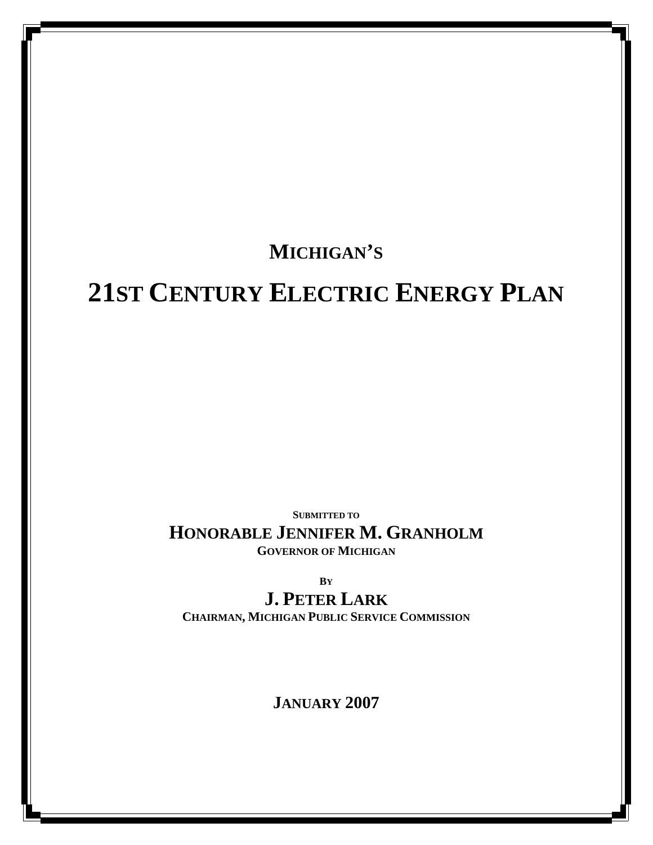## **MICHIGAN'S**

# **21ST CENTURY ELECTRIC ENERGY PLAN**

**SUBMITTED TO**

**HONORABLE JENNIFER M. GRANHOLM GOVERNOR OF MICHIGAN**

**BY**

**J. PETER LARK**

**CHAIRMAN, MICHIGAN PUBLIC SERVICE COMMISSION** 

**JANUARY 2007**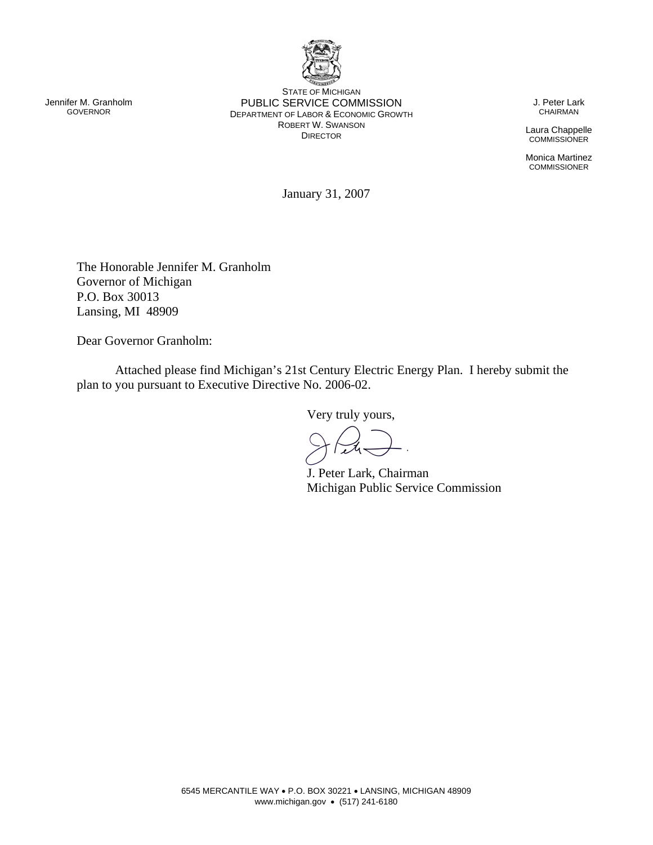

STATE OF MICHIGAN PUBLIC SERVICE COMMISSION DEPARTMENT OF LABOR & ECONOMIC GROWTH ROBERT W. SWANSON DIRECTOR

J. Peter Lark CHAIRMAN

Laura Chappelle **COMMISSIONER** 

Monica Martinez **COMMISSIONER** 

January 31, 2007

The Honorable Jennifer M. Granholm Governor of Michigan P.O. Box 30013 Lansing, MI 48909

Dear Governor Granholm:

 Attached please find Michigan's 21st Century Electric Energy Plan. I hereby submit the plan to you pursuant to Executive Directive No. 2006-02.

Very truly yours,

J. Peter Lark, Chairman Michigan Public Service Commission

Jennifer M. Granholm GOVERNOR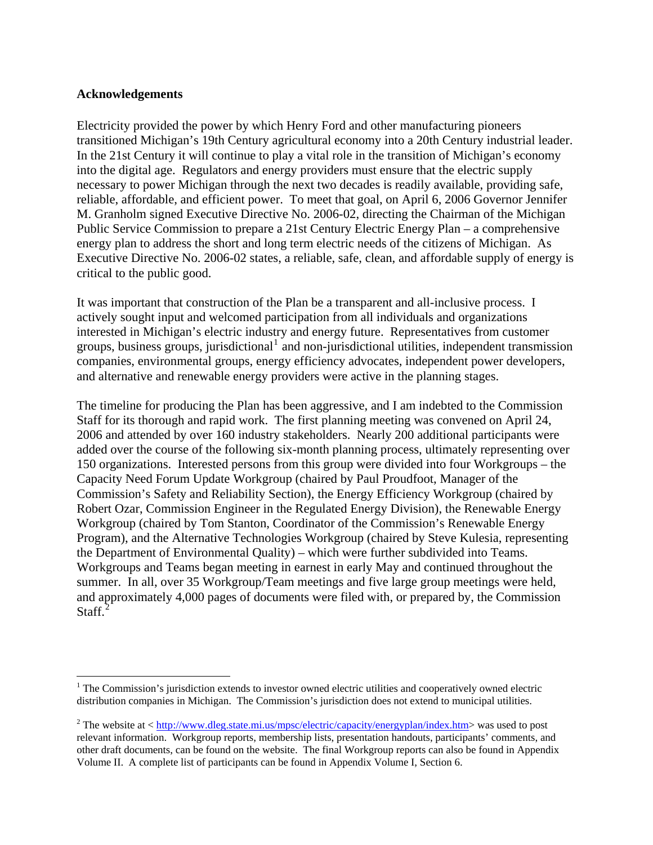#### **Acknowledgements**

 $\overline{a}$ 

Electricity provided the power by which Henry Ford and other manufacturing pioneers transitioned Michigan's 19th Century agricultural economy into a 20th Century industrial leader. In the 21st Century it will continue to play a vital role in the transition of Michigan's economy into the digital age. Regulators and energy providers must ensure that the electric supply necessary to power Michigan through the next two decades is readily available, providing safe, reliable, affordable, and efficient power. To meet that goal, on April 6, 2006 Governor Jennifer M. Granholm signed Executive Directive No. 2006-02, directing the Chairman of the Michigan Public Service Commission to prepare a 21st Century Electric Energy Plan – a comprehensive energy plan to address the short and long term electric needs of the citizens of Michigan. As Executive Directive No. 2006-02 states, a reliable, safe, clean, and affordable supply of energy is critical to the public good.

It was important that construction of the Plan be a transparent and all-inclusive process. I actively sought input and welcomed participation from all individuals and organizations interested in Michigan's electric industry and energy future. Representatives from customer groups, business groups, jurisdictional<sup>[1](#page-2-0)</sup> and non-jurisdictional utilities, independent transmission companies, environmental groups, energy efficiency advocates, independent power developers, and alternative and renewable energy providers were active in the planning stages.

The timeline for producing the Plan has been aggressive, and I am indebted to the Commission Staff for its thorough and rapid work. The first planning meeting was convened on April 24, 2006 and attended by over 160 industry stakeholders. Nearly 200 additional participants were added over the course of the following six-month planning process, ultimately representing over 150 organizations. Interested persons from this group were divided into four Workgroups – the Capacity Need Forum Update Workgroup (chaired by Paul Proudfoot, Manager of the Commission's Safety and Reliability Section), the Energy Efficiency Workgroup (chaired by Robert Ozar, Commission Engineer in the Regulated Energy Division), the Renewable Energy Workgroup (chaired by Tom Stanton, Coordinator of the Commission's Renewable Energy Program), and the Alternative Technologies Workgroup (chaired by Steve Kulesia, representing the Department of Environmental Quality) – which were further subdivided into Teams. Workgroups and Teams began meeting in earnest in early May and continued throughout the summer. In all, over 35 Workgroup/Team meetings and five large group meetings were held, and approximately 4,000 pages of documents were filed with, or prepared by, the Commission Staff.<sup>[2](#page-2-1)</sup>

<span id="page-2-0"></span><sup>&</sup>lt;sup>1</sup> The Commission's jurisdiction extends to investor owned electric utilities and cooperatively owned electric distribution companies in Michigan. The Commission's jurisdiction does not extend to municipal utilities.

<span id="page-2-1"></span><sup>&</sup>lt;sup>2</sup> The website at  $\langle \frac{http://www.dleg.state.mi.us/mpsc/electric/capacity/energyplan/index.htm>$  $\langle \frac{http://www.dleg.state.mi.us/mpsc/electric/capacity/energyplan/index.htm>$  was used to post relevant information. Workgroup reports, membership lists, presentation handouts, participants' comments, and other draft documents, can be found on the website. The final Workgroup reports can also be found in Appendix Volume II. A complete list of participants can be found in Appendix Volume I, Section 6.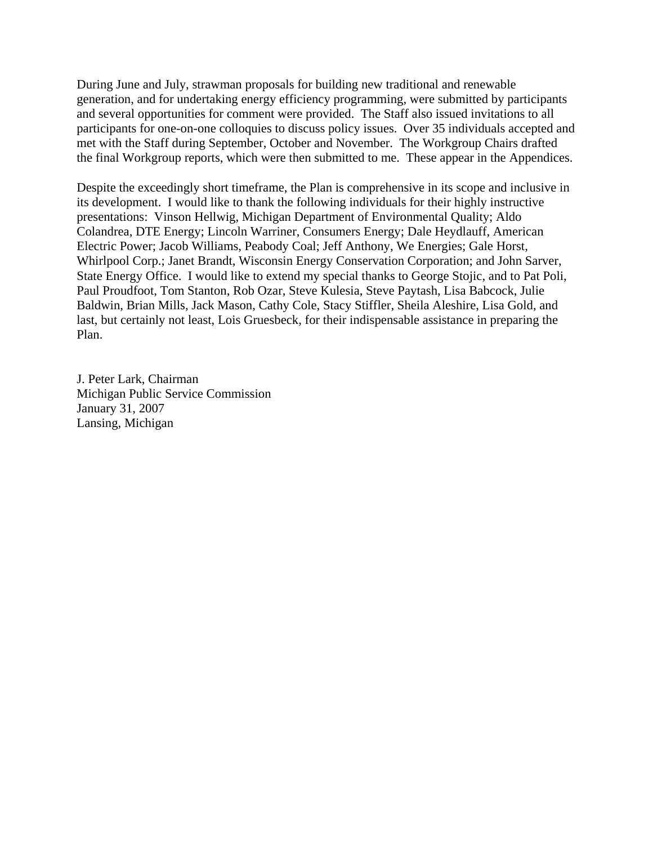During June and July, strawman proposals for building new traditional and renewable generation, and for undertaking energy efficiency programming, were submitted by participants and several opportunities for comment were provided. The Staff also issued invitations to all participants for one-on-one colloquies to discuss policy issues. Over 35 individuals accepted and met with the Staff during September, October and November. The Workgroup Chairs drafted the final Workgroup reports, which were then submitted to me. These appear in the Appendices.

Despite the exceedingly short timeframe, the Plan is comprehensive in its scope and inclusive in its development. I would like to thank the following individuals for their highly instructive presentations: Vinson Hellwig, Michigan Department of Environmental Quality; Aldo Colandrea, DTE Energy; Lincoln Warriner, Consumers Energy; Dale Heydlauff, American Electric Power; Jacob Williams, Peabody Coal; Jeff Anthony, We Energies; Gale Horst, Whirlpool Corp.; Janet Brandt, Wisconsin Energy Conservation Corporation; and John Sarver, State Energy Office. I would like to extend my special thanks to George Stojic, and to Pat Poli, Paul Proudfoot, Tom Stanton, Rob Ozar, Steve Kulesia, Steve Paytash, Lisa Babcock, Julie Baldwin, Brian Mills, Jack Mason, Cathy Cole, Stacy Stiffler, Sheila Aleshire, Lisa Gold, and last, but certainly not least, Lois Gruesbeck, for their indispensable assistance in preparing the Plan.

J. Peter Lark, Chairman Michigan Public Service Commission January 31, 2007 Lansing, Michigan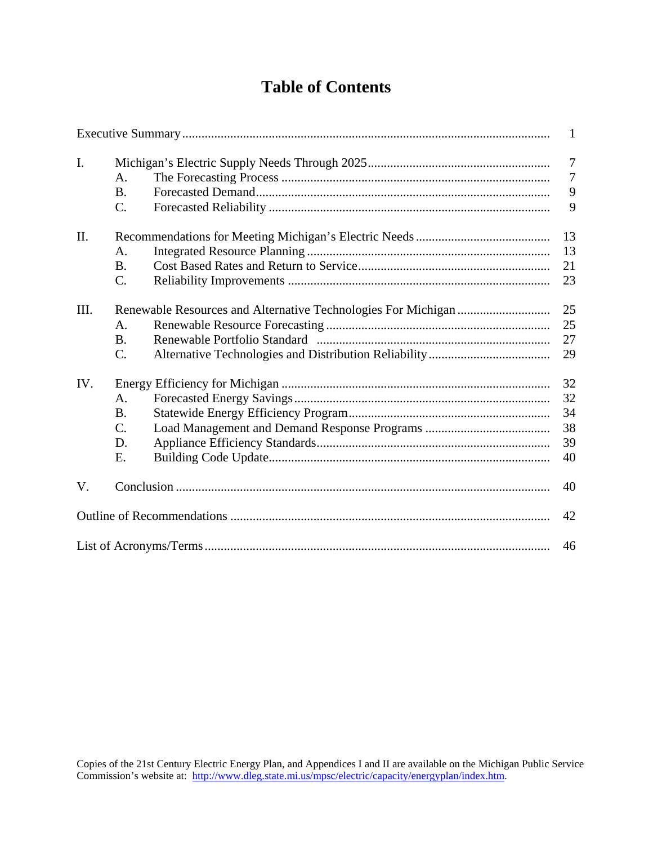## **Table of Contents**

|      |                                    | $\mathbf{1}$                               |  |  |
|------|------------------------------------|--------------------------------------------|--|--|
| I.   | A.<br><b>B.</b><br>$C$ .           | $\overline{7}$<br>$\overline{7}$<br>9<br>9 |  |  |
| II.  | A.<br><b>B.</b><br>$\mathcal{C}$ . | 13<br>13<br>21<br>23                       |  |  |
| III. | A.<br><b>B.</b><br>$\mathcal{C}$ . | 25<br>25<br>27<br>29                       |  |  |
| IV.  | А.<br><b>B.</b><br>C.<br>D.<br>E.  | 32<br>32<br>34<br>38<br>39<br>40           |  |  |
| V.   |                                    | 40                                         |  |  |
|      |                                    |                                            |  |  |
|      |                                    | 46                                         |  |  |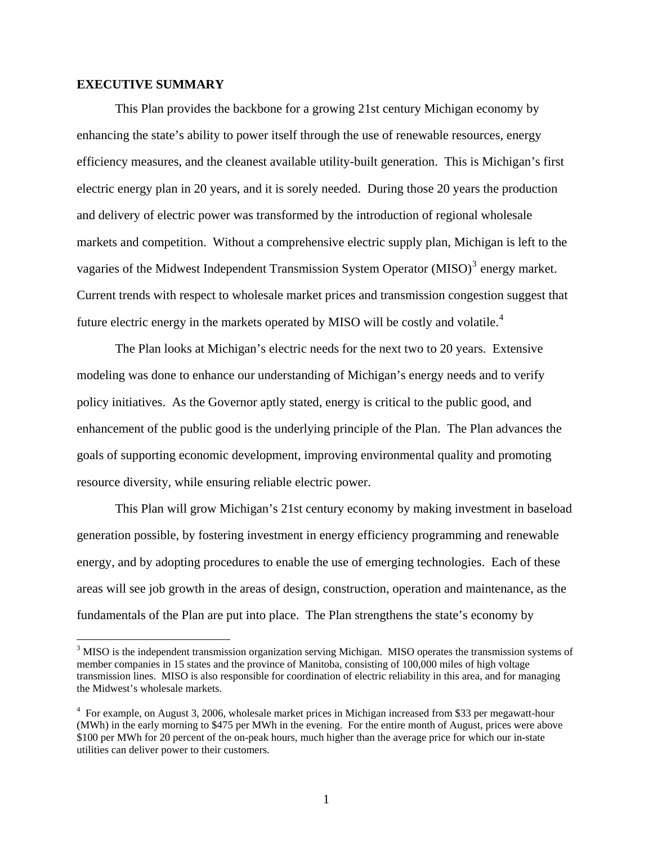#### **EXECUTIVE SUMMARY**

 $\overline{a}$ 

 This Plan provides the backbone for a growing 21st century Michigan economy by enhancing the state's ability to power itself through the use of renewable resources, energy efficiency measures, and the cleanest available utility-built generation. This is Michigan's first electric energy plan in 20 years, and it is sorely needed. During those 20 years the production and delivery of electric power was transformed by the introduction of regional wholesale markets and competition. Without a comprehensive electric supply plan, Michigan is left to the vagaries of the Midwest Independent Transmission System Operator  $(MISO)^3$  $(MISO)^3$  energy market. Current trends with respect to wholesale market prices and transmission congestion suggest that future electric energy in the markets operated by MISO will be costly and volatile.<sup>[4](#page-5-1)</sup>

 The Plan looks at Michigan's electric needs for the next two to 20 years. Extensive modeling was done to enhance our understanding of Michigan's energy needs and to verify policy initiatives. As the Governor aptly stated, energy is critical to the public good, and enhancement of the public good is the underlying principle of the Plan. The Plan advances the goals of supporting economic development, improving environmental quality and promoting resource diversity, while ensuring reliable electric power.

 This Plan will grow Michigan's 21st century economy by making investment in baseload generation possible, by fostering investment in energy efficiency programming and renewable energy, and by adopting procedures to enable the use of emerging technologies. Each of these areas will see job growth in the areas of design, construction, operation and maintenance, as the fundamentals of the Plan are put into place. The Plan strengthens the state's economy by

<span id="page-5-0"></span><sup>&</sup>lt;sup>3</sup> MISO is the independent transmission organization serving Michigan. MISO operates the transmission systems of member companies in 15 states and the province of Manitoba, consisting of 100,000 miles of high voltage transmission lines. MISO is also responsible for coordination of electric reliability in this area, and for managing the Midwest's wholesale markets.

<span id="page-5-1"></span><sup>&</sup>lt;sup>4</sup> For example, on August 3, 2006, wholesale market prices in Michigan increased from \$33 per megawatt-hour (MWh) in the early morning to \$475 per MWh in the evening. For the entire month of August, prices were above \$100 per MWh for 20 percent of the on-peak hours, much higher than the average price for which our in-state utilities can deliver power to their customers.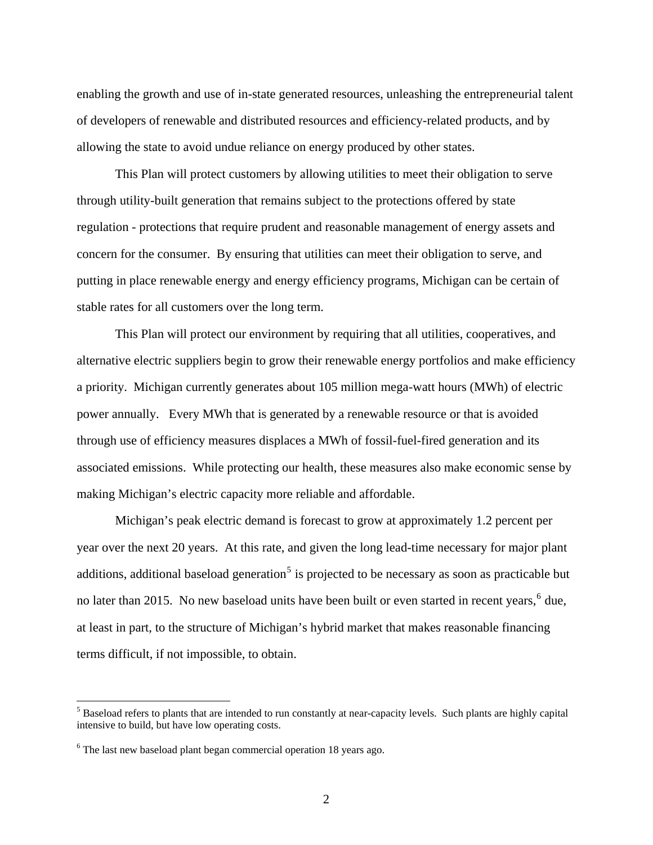enabling the growth and use of in-state generated resources, unleashing the entrepreneurial talent of developers of renewable and distributed resources and efficiency-related products, and by allowing the state to avoid undue reliance on energy produced by other states.

 This Plan will protect customers by allowing utilities to meet their obligation to serve through utility-built generation that remains subject to the protections offered by state regulation - protections that require prudent and reasonable management of energy assets and concern for the consumer. By ensuring that utilities can meet their obligation to serve, and putting in place renewable energy and energy efficiency programs, Michigan can be certain of stable rates for all customers over the long term.

 This Plan will protect our environment by requiring that all utilities, cooperatives, and alternative electric suppliers begin to grow their renewable energy portfolios and make efficiency a priority. Michigan currently generates about 105 million mega-watt hours (MWh) of electric power annually. Every MWh that is generated by a renewable resource or that is avoided through use of efficiency measures displaces a MWh of fossil-fuel-fired generation and its associated emissions. While protecting our health, these measures also make economic sense by making Michigan's electric capacity more reliable and affordable.

 Michigan's peak electric demand is forecast to grow at approximately 1.2 percent per year over the next 20 years. At this rate, and given the long lead-time necessary for major plant additions, additional baseload generation<sup>[5](#page-6-0)</sup> is projected to be necessary as soon as practicable but no later than 2015. No new baseload units have been built or even started in recent years,  $6$  due, at least in part, to the structure of Michigan's hybrid market that makes reasonable financing terms difficult, if not impossible, to obtain.

<span id="page-6-0"></span><sup>&</sup>lt;sup>5</sup> Baseload refers to plants that are intended to run constantly at near-capacity levels. Such plants are highly capital intensive to build, but have low operating costs.

<span id="page-6-1"></span><sup>&</sup>lt;sup>6</sup> The last new baseload plant began commercial operation 18 years ago.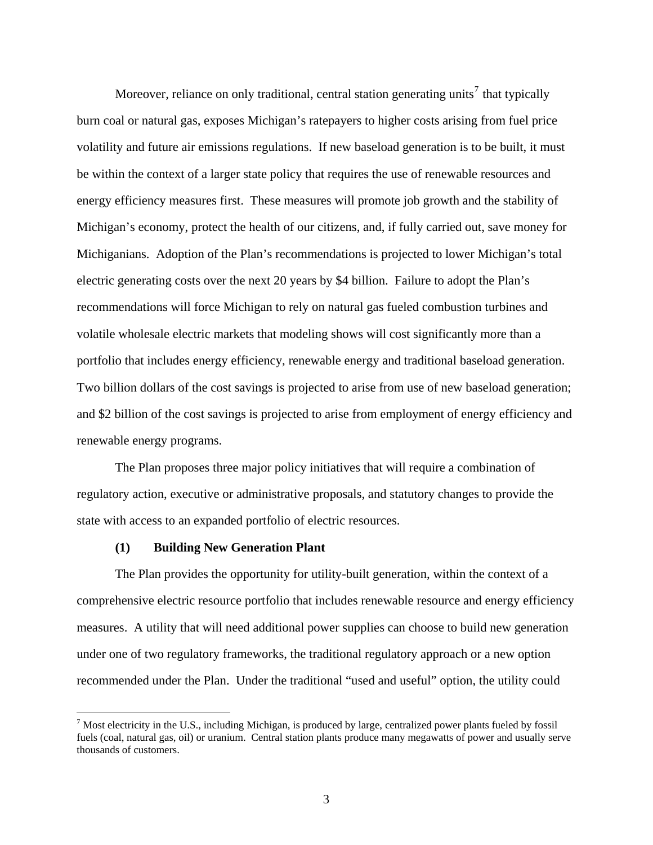Moreover, reliance on only traditional, central station generating units<sup>[7](#page-7-0)</sup> that typically burn coal or natural gas, exposes Michigan's ratepayers to higher costs arising from fuel price volatility and future air emissions regulations. If new baseload generation is to be built, it must be within the context of a larger state policy that requires the use of renewable resources and energy efficiency measures first. These measures will promote job growth and the stability of Michigan's economy, protect the health of our citizens, and, if fully carried out, save money for Michiganians. Adoption of the Plan's recommendations is projected to lower Michigan's total electric generating costs over the next 20 years by \$4 billion. Failure to adopt the Plan's recommendations will force Michigan to rely on natural gas fueled combustion turbines and volatile wholesale electric markets that modeling shows will cost significantly more than a portfolio that includes energy efficiency, renewable energy and traditional baseload generation. Two billion dollars of the cost savings is projected to arise from use of new baseload generation; and \$2 billion of the cost savings is projected to arise from employment of energy efficiency and renewable energy programs.

 The Plan proposes three major policy initiatives that will require a combination of regulatory action, executive or administrative proposals, and statutory changes to provide the state with access to an expanded portfolio of electric resources.

#### **(1) Building New Generation Plant**

 $\overline{a}$ 

 The Plan provides the opportunity for utility-built generation, within the context of a comprehensive electric resource portfolio that includes renewable resource and energy efficiency measures. A utility that will need additional power supplies can choose to build new generation under one of two regulatory frameworks, the traditional regulatory approach or a new option recommended under the Plan. Under the traditional "used and useful" option, the utility could

<span id="page-7-0"></span> $^7$  Most electricity in the U.S., including Michigan, is produced by large, centralized power plants fueled by fossil fuels (coal, natural gas, oil) or uranium. Central station plants produce many megawatts of power and usually serve thousands of customers.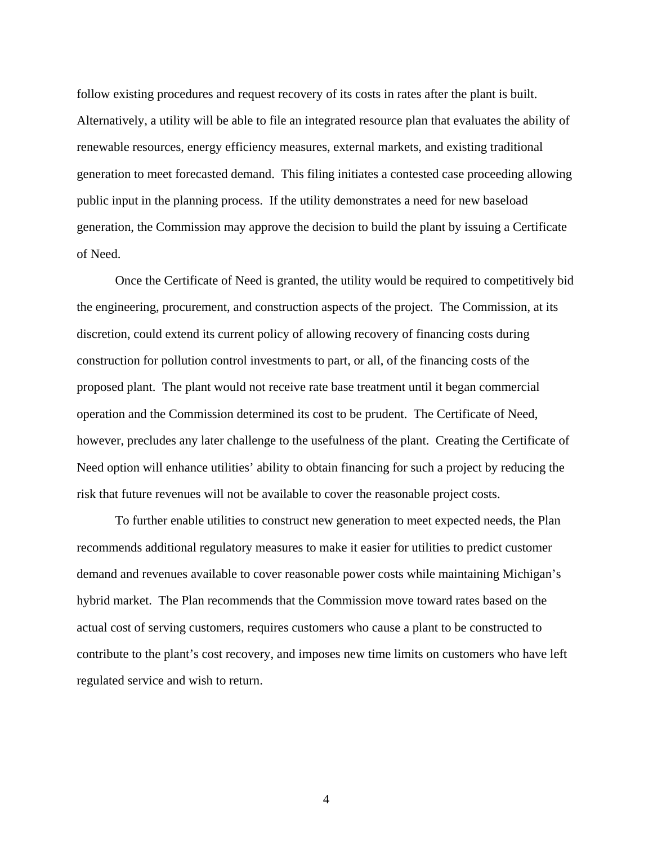follow existing procedures and request recovery of its costs in rates after the plant is built. Alternatively, a utility will be able to file an integrated resource plan that evaluates the ability of renewable resources, energy efficiency measures, external markets, and existing traditional generation to meet forecasted demand. This filing initiates a contested case proceeding allowing public input in the planning process. If the utility demonstrates a need for new baseload generation, the Commission may approve the decision to build the plant by issuing a Certificate of Need.

 Once the Certificate of Need is granted, the utility would be required to competitively bid the engineering, procurement, and construction aspects of the project. The Commission, at its discretion, could extend its current policy of allowing recovery of financing costs during construction for pollution control investments to part, or all, of the financing costs of the proposed plant. The plant would not receive rate base treatment until it began commercial operation and the Commission determined its cost to be prudent. The Certificate of Need, however, precludes any later challenge to the usefulness of the plant. Creating the Certificate of Need option will enhance utilities' ability to obtain financing for such a project by reducing the risk that future revenues will not be available to cover the reasonable project costs.

 To further enable utilities to construct new generation to meet expected needs, the Plan recommends additional regulatory measures to make it easier for utilities to predict customer demand and revenues available to cover reasonable power costs while maintaining Michigan's hybrid market. The Plan recommends that the Commission move toward rates based on the actual cost of serving customers, requires customers who cause a plant to be constructed to contribute to the plant's cost recovery, and imposes new time limits on customers who have left regulated service and wish to return.

4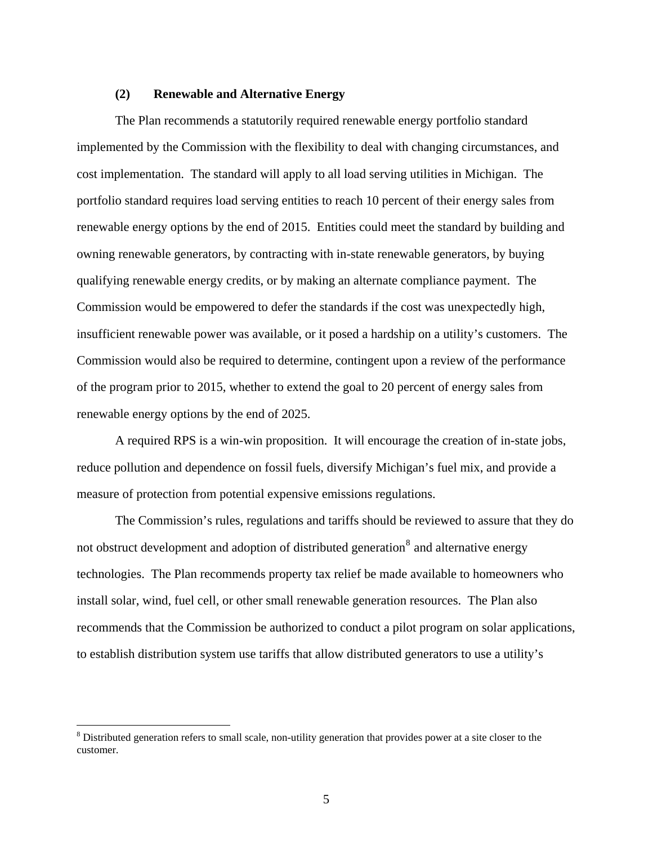#### **(2) Renewable and Alternative Energy**

 The Plan recommends a statutorily required renewable energy portfolio standard implemented by the Commission with the flexibility to deal with changing circumstances, and cost implementation. The standard will apply to all load serving utilities in Michigan. The portfolio standard requires load serving entities to reach 10 percent of their energy sales from renewable energy options by the end of 2015. Entities could meet the standard by building and owning renewable generators, by contracting with in-state renewable generators, by buying qualifying renewable energy credits, or by making an alternate compliance payment. The Commission would be empowered to defer the standards if the cost was unexpectedly high, insufficient renewable power was available, or it posed a hardship on a utility's customers. The Commission would also be required to determine, contingent upon a review of the performance of the program prior to 2015, whether to extend the goal to 20 percent of energy sales from renewable energy options by the end of 2025.

 A required RPS is a win-win proposition. It will encourage the creation of in-state jobs, reduce pollution and dependence on fossil fuels, diversify Michigan's fuel mix, and provide a measure of protection from potential expensive emissions regulations.

 The Commission's rules, regulations and tariffs should be reviewed to assure that they do not obstruct development and adoption of distributed generation<sup>[8](#page-9-0)</sup> and alternative energy technologies. The Plan recommends property tax relief be made available to homeowners who install solar, wind, fuel cell, or other small renewable generation resources. The Plan also recommends that the Commission be authorized to conduct a pilot program on solar applications, to establish distribution system use tariffs that allow distributed generators to use a utility's

<span id="page-9-0"></span> $8$  Distributed generation refers to small scale, non-utility generation that provides power at a site closer to the customer.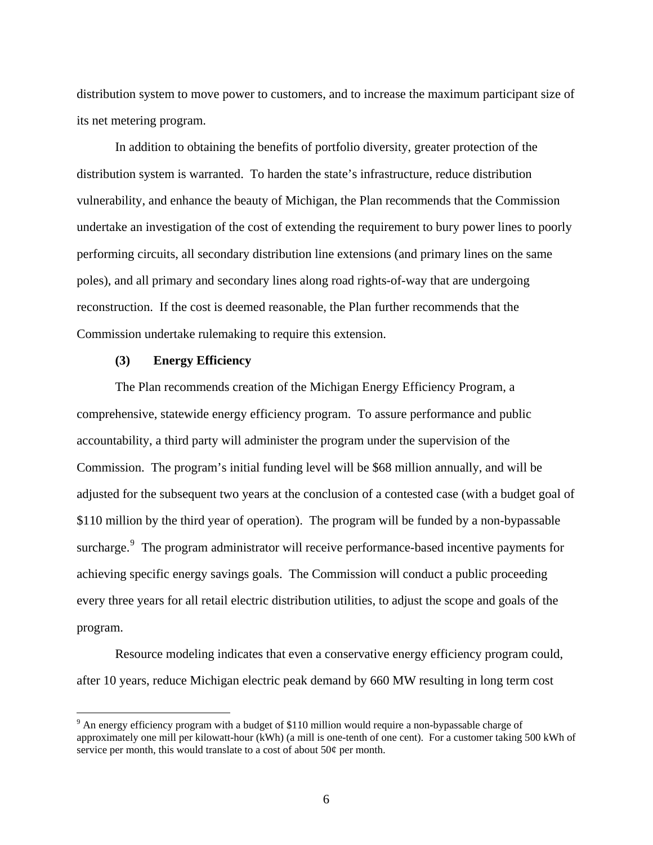distribution system to move power to customers, and to increase the maximum participant size of its net metering program.

 In addition to obtaining the benefits of portfolio diversity, greater protection of the distribution system is warranted. To harden the state's infrastructure, reduce distribution vulnerability, and enhance the beauty of Michigan, the Plan recommends that the Commission undertake an investigation of the cost of extending the requirement to bury power lines to poorly performing circuits, all secondary distribution line extensions (and primary lines on the same poles), and all primary and secondary lines along road rights-of-way that are undergoing reconstruction. If the cost is deemed reasonable, the Plan further recommends that the Commission undertake rulemaking to require this extension.

#### **(3) Energy Efficiency**

 $\overline{a}$ 

 The Plan recommends creation of the Michigan Energy Efficiency Program, a comprehensive, statewide energy efficiency program. To assure performance and public accountability, a third party will administer the program under the supervision of the Commission. The program's initial funding level will be \$68 million annually, and will be adjusted for the subsequent two years at the conclusion of a contested case (with a budget goal of \$110 million by the third year of operation). The program will be funded by a non-bypassable surcharge.<sup>[9](#page-10-0)</sup> The program administrator will receive performance-based incentive payments for achieving specific energy savings goals. The Commission will conduct a public proceeding every three years for all retail electric distribution utilities, to adjust the scope and goals of the program.

 Resource modeling indicates that even a conservative energy efficiency program could, after 10 years, reduce Michigan electric peak demand by 660 MW resulting in long term cost

<span id="page-10-0"></span> $9<sup>9</sup>$  An energy efficiency program with a budget of \$110 million would require a non-bypassable charge of approximately one mill per kilowatt-hour (kWh) (a mill is one-tenth of one cent). For a customer taking 500 kWh of service per month, this would translate to a cost of about 50¢ per month.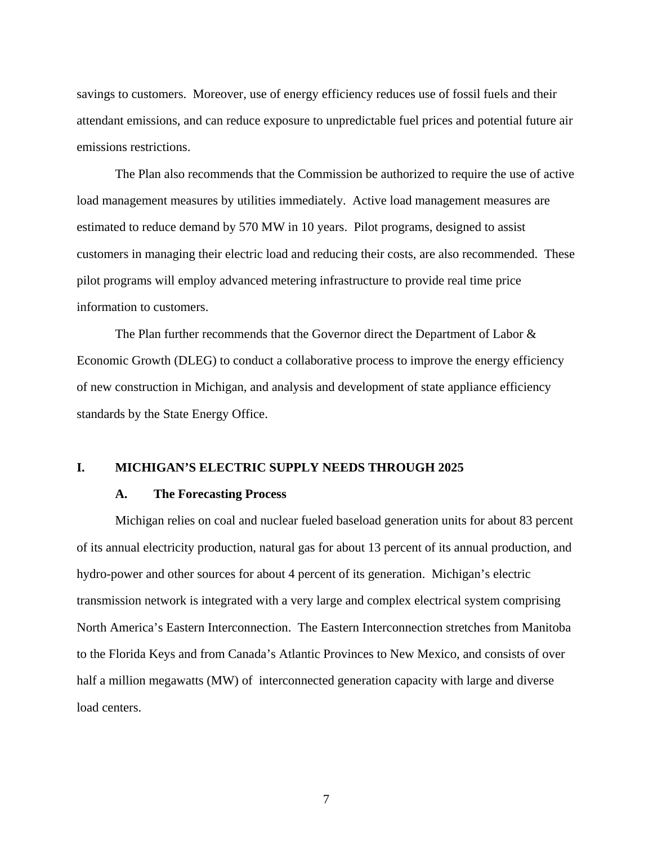savings to customers. Moreover, use of energy efficiency reduces use of fossil fuels and their attendant emissions, and can reduce exposure to unpredictable fuel prices and potential future air emissions restrictions.

 The Plan also recommends that the Commission be authorized to require the use of active load management measures by utilities immediately. Active load management measures are estimated to reduce demand by 570 MW in 10 years. Pilot programs, designed to assist customers in managing their electric load and reducing their costs, are also recommended. These pilot programs will employ advanced metering infrastructure to provide real time price information to customers.

 The Plan further recommends that the Governor direct the Department of Labor & Economic Growth (DLEG) to conduct a collaborative process to improve the energy efficiency of new construction in Michigan, and analysis and development of state appliance efficiency standards by the State Energy Office.

#### **I. MICHIGAN'S ELECTRIC SUPPLY NEEDS THROUGH 2025**

#### **A. The Forecasting Process**

 Michigan relies on coal and nuclear fueled baseload generation units for about 83 percent of its annual electricity production, natural gas for about 13 percent of its annual production, and hydro-power and other sources for about 4 percent of its generation. Michigan's electric transmission network is integrated with a very large and complex electrical system comprising North America's Eastern Interconnection. The Eastern Interconnection stretches from Manitoba to the Florida Keys and from Canada's Atlantic Provinces to New Mexico, and consists of over half a million megawatts (MW) of interconnected generation capacity with large and diverse load centers.

7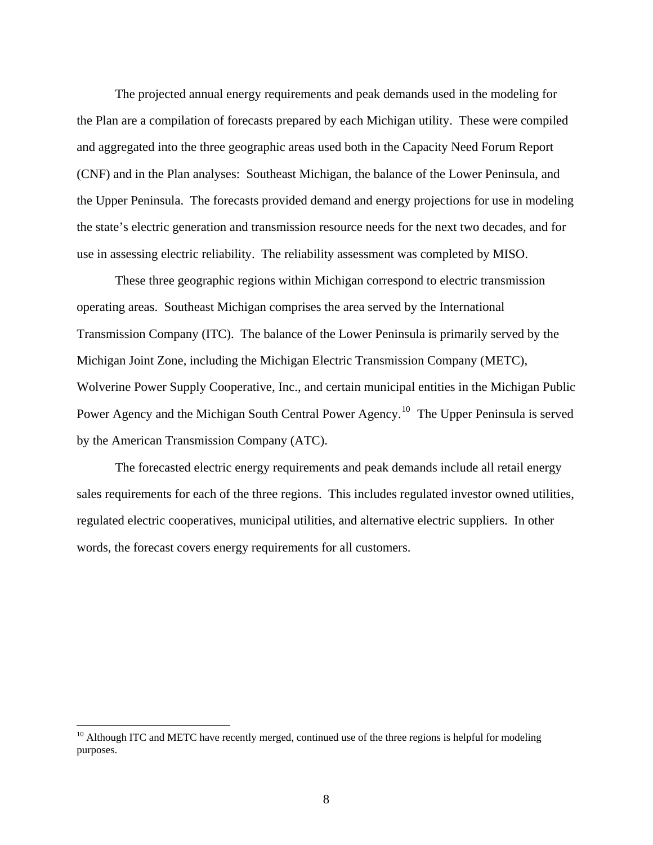The projected annual energy requirements and peak demands used in the modeling for the Plan are a compilation of forecasts prepared by each Michigan utility. These were compiled and aggregated into the three geographic areas used both in the Capacity Need Forum Report (CNF) and in the Plan analyses: Southeast Michigan, the balance of the Lower Peninsula, and the Upper Peninsula. The forecasts provided demand and energy projections for use in modeling the state's electric generation and transmission resource needs for the next two decades, and for use in assessing electric reliability. The reliability assessment was completed by MISO.

 These three geographic regions within Michigan correspond to electric transmission operating areas. Southeast Michigan comprises the area served by the International Transmission Company (ITC). The balance of the Lower Peninsula is primarily served by the Michigan Joint Zone, including the Michigan Electric Transmission Company (METC), Wolverine Power Supply Cooperative, Inc., and certain municipal entities in the Michigan Public Power Agency and the Michigan South Central Power Agency.<sup>[10](#page-12-0)</sup> The Upper Peninsula is served by the American Transmission Company (ATC).

 The forecasted electric energy requirements and peak demands include all retail energy sales requirements for each of the three regions. This includes regulated investor owned utilities, regulated electric cooperatives, municipal utilities, and alternative electric suppliers. In other words, the forecast covers energy requirements for all customers.

<span id="page-12-0"></span> $10$  Although ITC and METC have recently merged, continued use of the three regions is helpful for modeling purposes.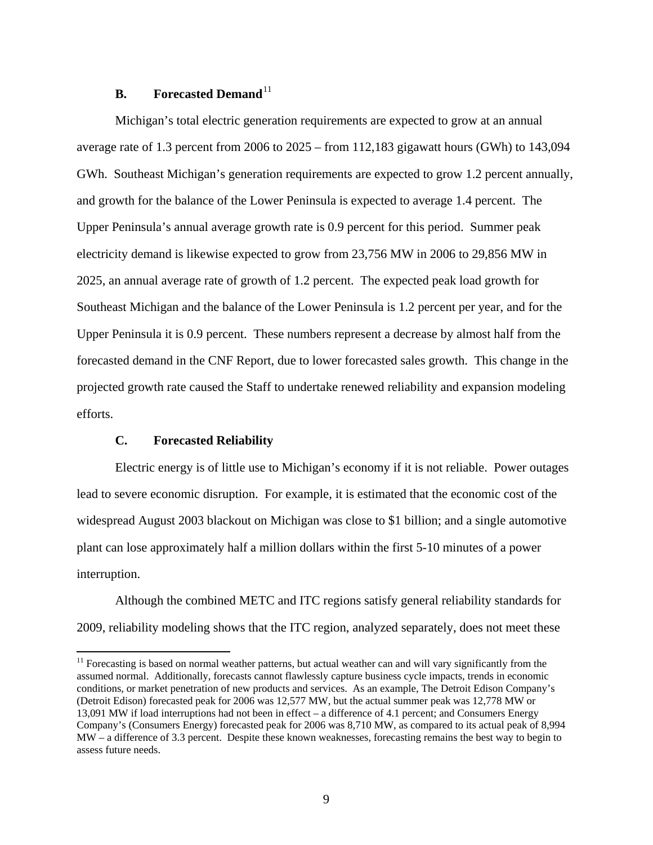#### **B.** Forecasted Demand<sup>[11](#page-13-0)</sup>

 Michigan's total electric generation requirements are expected to grow at an annual average rate of 1.3 percent from 2006 to 2025 – from 112,183 gigawatt hours (GWh) to 143,094 GWh. Southeast Michigan's generation requirements are expected to grow 1.2 percent annually, and growth for the balance of the Lower Peninsula is expected to average 1.4 percent. The Upper Peninsula's annual average growth rate is 0.9 percent for this period. Summer peak electricity demand is likewise expected to grow from 23,756 MW in 2006 to 29,856 MW in 2025, an annual average rate of growth of 1.2 percent. The expected peak load growth for Southeast Michigan and the balance of the Lower Peninsula is 1.2 percent per year, and for the Upper Peninsula it is 0.9 percent. These numbers represent a decrease by almost half from the forecasted demand in the CNF Report, due to lower forecasted sales growth. This change in the projected growth rate caused the Staff to undertake renewed reliability and expansion modeling efforts.

#### **C. Forecasted Reliability**

 $\overline{a}$ 

 Electric energy is of little use to Michigan's economy if it is not reliable. Power outages lead to severe economic disruption. For example, it is estimated that the economic cost of the widespread August 2003 blackout on Michigan was close to \$1 billion; and a single automotive plant can lose approximately half a million dollars within the first 5-10 minutes of a power interruption.

 Although the combined METC and ITC regions satisfy general reliability standards for 2009, reliability modeling shows that the ITC region, analyzed separately, does not meet these

<span id="page-13-0"></span><sup>&</sup>lt;sup>11</sup> Forecasting is based on normal weather patterns, but actual weather can and will vary significantly from the assumed normal. Additionally, forecasts cannot flawlessly capture business cycle impacts, trends in economic conditions, or market penetration of new products and services. As an example, The Detroit Edison Company's (Detroit Edison) forecasted peak for 2006 was 12,577 MW, but the actual summer peak was 12,778 MW or 13,091 MW if load interruptions had not been in effect – a difference of 4.1 percent; and Consumers Energy Company's (Consumers Energy) forecasted peak for 2006 was 8,710 MW, as compared to its actual peak of 8,994 MW – a difference of 3.3 percent. Despite these known weaknesses, forecasting remains the best way to begin to assess future needs.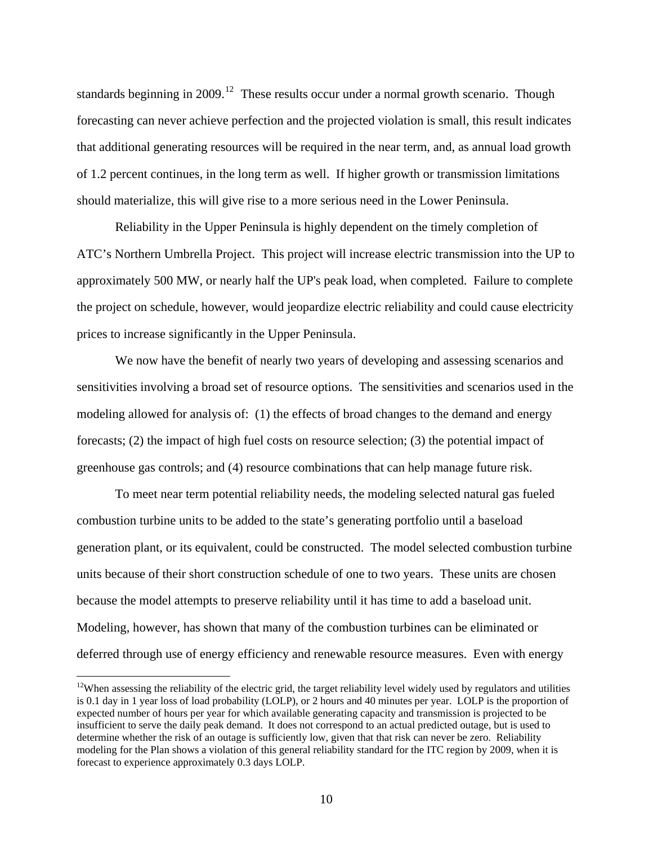standards beginning in 2009.<sup>[12](#page-14-0)</sup> These results occur under a normal growth scenario. Though forecasting can never achieve perfection and the projected violation is small, this result indicates that additional generating resources will be required in the near term, and, as annual load growth of 1.2 percent continues, in the long term as well. If higher growth or transmission limitations should materialize, this will give rise to a more serious need in the Lower Peninsula.

 Reliability in the Upper Peninsula is highly dependent on the timely completion of ATC's Northern Umbrella Project. This project will increase electric transmission into the UP to approximately 500 MW, or nearly half the UP's peak load, when completed. Failure to complete the project on schedule, however, would jeopardize electric reliability and could cause electricity prices to increase significantly in the Upper Peninsula.

 We now have the benefit of nearly two years of developing and assessing scenarios and sensitivities involving a broad set of resource options. The sensitivities and scenarios used in the modeling allowed for analysis of: (1) the effects of broad changes to the demand and energy forecasts; (2) the impact of high fuel costs on resource selection; (3) the potential impact of greenhouse gas controls; and (4) resource combinations that can help manage future risk.

 To meet near term potential reliability needs, the modeling selected natural gas fueled combustion turbine units to be added to the state's generating portfolio until a baseload generation plant, or its equivalent, could be constructed. The model selected combustion turbine units because of their short construction schedule of one to two years. These units are chosen because the model attempts to preserve reliability until it has time to add a baseload unit. Modeling, however, has shown that many of the combustion turbines can be eliminated or deferred through use of energy efficiency and renewable resource measures. Even with energy

<span id="page-14-0"></span> $12$ When assessing the reliability of the electric grid, the target reliability level widely used by regulators and utilities is 0.1 day in 1 year loss of load probability (LOLP), or 2 hours and 40 minutes per year. LOLP is the proportion of expected number of hours per year for which available generating capacity and transmission is projected to be insufficient to serve the daily peak demand. It does not correspond to an actual predicted outage, but is used to determine whether the risk of an outage is sufficiently low, given that that risk can never be zero. Reliability modeling for the Plan shows a violation of this general reliability standard for the ITC region by 2009, when it is forecast to experience approximately 0.3 days LOLP.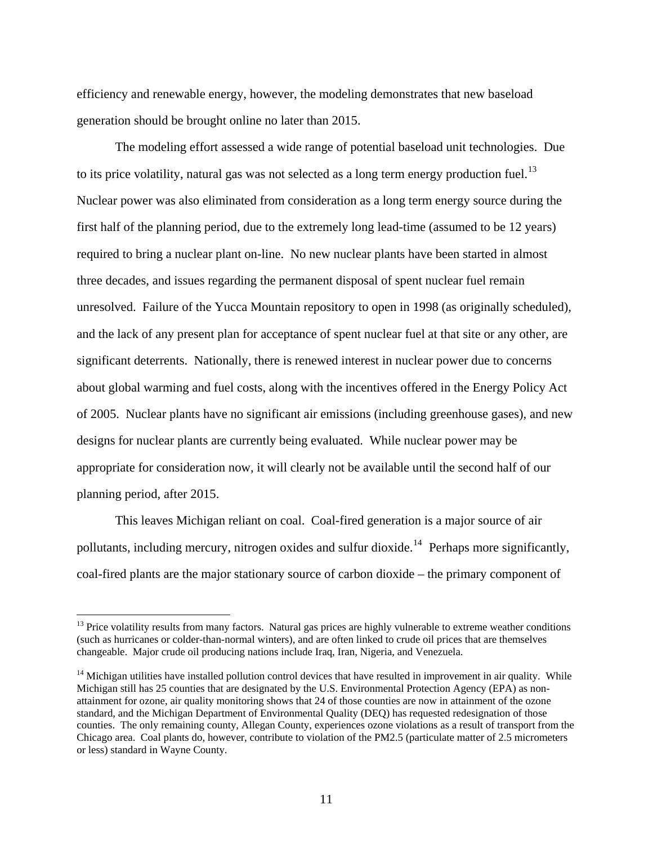efficiency and renewable energy, however, the modeling demonstrates that new baseload generation should be brought online no later than 2015.

 The modeling effort assessed a wide range of potential baseload unit technologies. Due to its price volatility, natural gas was not selected as a long term energy production fuel.<sup>[13](#page-15-0)</sup> Nuclear power was also eliminated from consideration as a long term energy source during the first half of the planning period, due to the extremely long lead-time (assumed to be 12 years) required to bring a nuclear plant on-line. No new nuclear plants have been started in almost three decades, and issues regarding the permanent disposal of spent nuclear fuel remain unresolved. Failure of the Yucca Mountain repository to open in 1998 (as originally scheduled), and the lack of any present plan for acceptance of spent nuclear fuel at that site or any other, are significant deterrents. Nationally, there is renewed interest in nuclear power due to concerns about global warming and fuel costs, along with the incentives offered in the Energy Policy Act of 2005. Nuclear plants have no significant air emissions (including greenhouse gases), and new designs for nuclear plants are currently being evaluated. While nuclear power may be appropriate for consideration now, it will clearly not be available until the second half of our planning period, after 2015.

 This leaves Michigan reliant on coal. Coal-fired generation is a major source of air pollutants, including mercury, nitrogen oxides and sulfur dioxide.<sup>[14](#page-15-1)</sup> Perhaps more significantly, coal-fired plants are the major stationary source of carbon dioxide – the primary component of

<span id="page-15-0"></span><sup>&</sup>lt;sup>13</sup> Price volatility results from many factors. Natural gas prices are highly vulnerable to extreme weather conditions (such as hurricanes or colder-than-normal winters), and are often linked to crude oil prices that are themselves changeable. Major crude oil producing nations include Iraq, Iran, Nigeria, and Venezuela.

<span id="page-15-1"></span><sup>&</sup>lt;sup>14</sup> Michigan utilities have installed pollution control devices that have resulted in improvement in air quality. While Michigan still has 25 counties that are designated by the U.S. Environmental Protection Agency (EPA) as nonattainment for ozone, air quality monitoring shows that 24 of those counties are now in attainment of the ozone standard, and the Michigan Department of Environmental Quality (DEQ) has requested redesignation of those counties. The only remaining county, Allegan County, experiences ozone violations as a result of transport from the Chicago area. Coal plants do, however, contribute to violation of the PM2.5 (particulate matter of 2.5 micrometers or less) standard in Wayne County.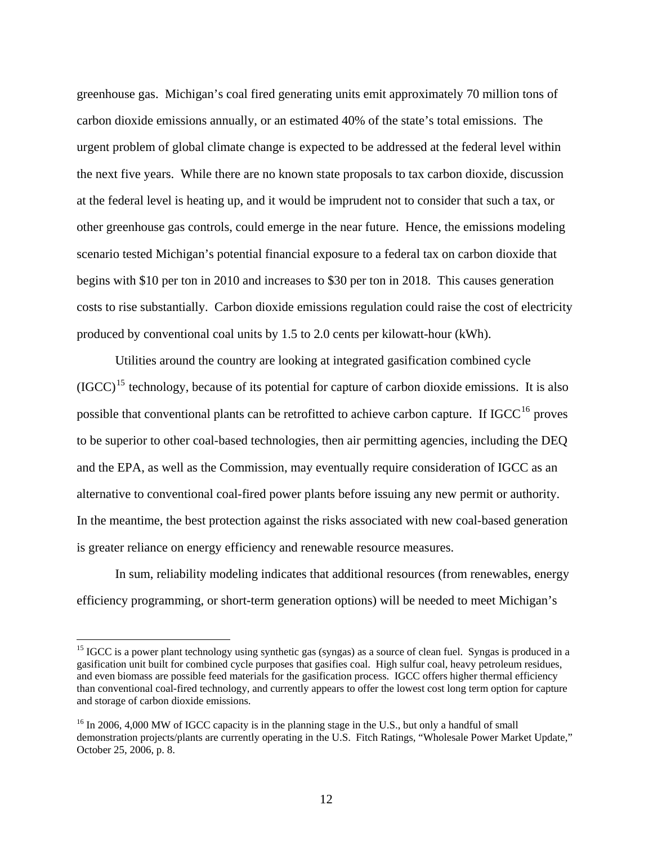greenhouse gas. Michigan's coal fired generating units emit approximately 70 million tons of carbon dioxide emissions annually, or an estimated 40% of the state's total emissions. The urgent problem of global climate change is expected to be addressed at the federal level within the next five years. While there are no known state proposals to tax carbon dioxide, discussion at the federal level is heating up, and it would be imprudent not to consider that such a tax, or other greenhouse gas controls, could emerge in the near future. Hence, the emissions modeling scenario tested Michigan's potential financial exposure to a federal tax on carbon dioxide that begins with \$10 per ton in 2010 and increases to \$30 per ton in 2018. This causes generation costs to rise substantially. Carbon dioxide emissions regulation could raise the cost of electricity produced by conventional coal units by 1.5 to 2.0 cents per kilowatt-hour (kWh).

 Utilities around the country are looking at integrated gasification combined cycle  $(GCC)^{15}$  $(GCC)^{15}$  $(GCC)^{15}$  technology, because of its potential for capture of carbon dioxide emissions. It is also possible that conventional plants can be retrofitted to achieve carbon capture. If  $IGCC<sup>16</sup>$  $IGCC<sup>16</sup>$  $IGCC<sup>16</sup>$  proves to be superior to other coal-based technologies, then air permitting agencies, including the DEQ and the EPA, as well as the Commission, may eventually require consideration of IGCC as an alternative to conventional coal-fired power plants before issuing any new permit or authority. In the meantime, the best protection against the risks associated with new coal-based generation is greater reliance on energy efficiency and renewable resource measures.

 In sum, reliability modeling indicates that additional resources (from renewables, energy efficiency programming, or short-term generation options) will be needed to meet Michigan's

<span id="page-16-0"></span> $15$  IGCC is a power plant technology using synthetic gas (syngas) as a source of clean fuel. Syngas is produced in a gasification unit built for combined cycle purposes that gasifies coal. High sulfur coal, heavy petroleum residues, and even biomass are possible feed materials for the gasification process. IGCC offers higher thermal efficiency than conventional coal-fired technology, and currently appears to offer the lowest cost long term option for capture and storage of carbon dioxide emissions.

<span id="page-16-1"></span><sup>&</sup>lt;sup>16</sup> In 2006, 4,000 MW of IGCC capacity is in the planning stage in the U.S., but only a handful of small demonstration projects/plants are currently operating in the U.S. Fitch Ratings, "Wholesale Power Market Update," October 25, 2006, p. 8.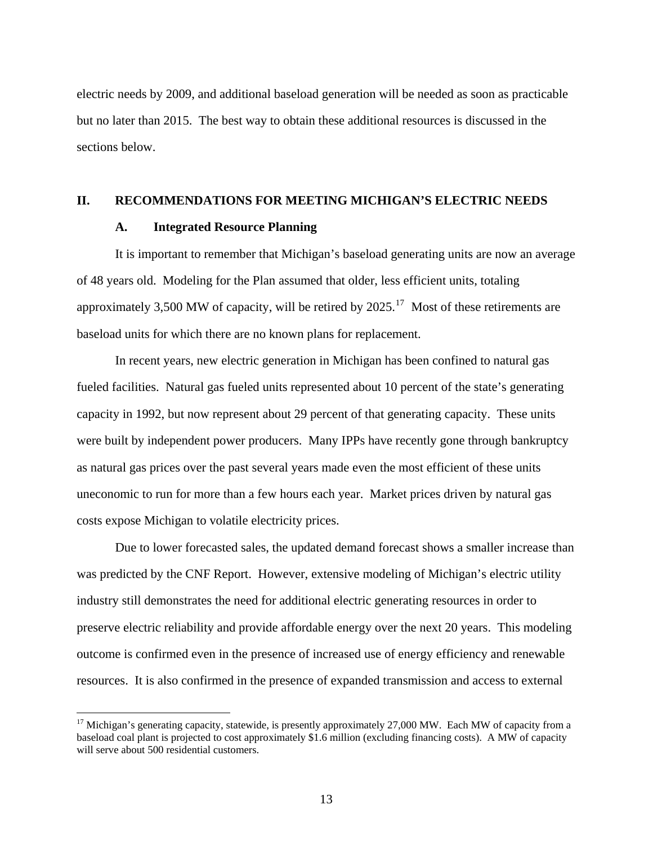electric needs by 2009, and additional baseload generation will be needed as soon as practicable but no later than 2015. The best way to obtain these additional resources is discussed in the sections below.

#### **II. RECOMMENDATIONS FOR MEETING MICHIGAN'S ELECTRIC NEEDS**

#### **A. Integrated Resource Planning**

 $\overline{a}$ 

 It is important to remember that Michigan's baseload generating units are now an average of 48 years old. Modeling for the Plan assumed that older, less efficient units, totaling approximately 3,500 MW of capacity, will be retired by  $2025$ .<sup>[17](#page-17-0)</sup> Most of these retirements are baseload units for which there are no known plans for replacement.

 In recent years, new electric generation in Michigan has been confined to natural gas fueled facilities. Natural gas fueled units represented about 10 percent of the state's generating capacity in 1992, but now represent about 29 percent of that generating capacity. These units were built by independent power producers. Many IPPs have recently gone through bankruptcy as natural gas prices over the past several years made even the most efficient of these units uneconomic to run for more than a few hours each year. Market prices driven by natural gas costs expose Michigan to volatile electricity prices.

 Due to lower forecasted sales, the updated demand forecast shows a smaller increase than was predicted by the CNF Report. However, extensive modeling of Michigan's electric utility industry still demonstrates the need for additional electric generating resources in order to preserve electric reliability and provide affordable energy over the next 20 years. This modeling outcome is confirmed even in the presence of increased use of energy efficiency and renewable resources. It is also confirmed in the presence of expanded transmission and access to external

<span id="page-17-0"></span> $17$  Michigan's generating capacity, statewide, is presently approximately 27,000 MW. Each MW of capacity from a baseload coal plant is projected to cost approximately \$1.6 million (excluding financing costs). A MW of capacity will serve about 500 residential customers.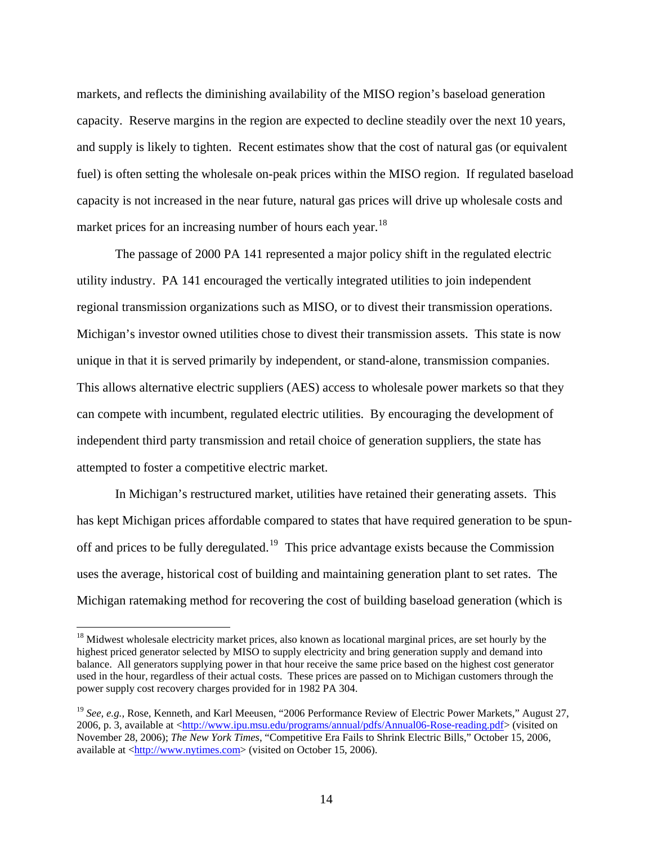markets, and reflects the diminishing availability of the MISO region's baseload generation capacity. Reserve margins in the region are expected to decline steadily over the next 10 years, and supply is likely to tighten. Recent estimates show that the cost of natural gas (or equivalent fuel) is often setting the wholesale on-peak prices within the MISO region. If regulated baseload capacity is not increased in the near future, natural gas prices will drive up wholesale costs and market prices for an increasing number of hours each year.<sup>[18](#page-18-0)</sup>

 The passage of 2000 PA 141 represented a major policy shift in the regulated electric utility industry. PA 141 encouraged the vertically integrated utilities to join independent regional transmission organizations such as MISO, or to divest their transmission operations. Michigan's investor owned utilities chose to divest their transmission assets. This state is now unique in that it is served primarily by independent, or stand-alone, transmission companies. This allows alternative electric suppliers (AES) access to wholesale power markets so that they can compete with incumbent, regulated electric utilities. By encouraging the development of independent third party transmission and retail choice of generation suppliers, the state has attempted to foster a competitive electric market.

 In Michigan's restructured market, utilities have retained their generating assets. This has kept Michigan prices affordable compared to states that have required generation to be spun-off and prices to be fully deregulated.<sup>[19](#page-18-1)</sup> This price advantage exists because the Commission uses the average, historical cost of building and maintaining generation plant to set rates. The Michigan ratemaking method for recovering the cost of building baseload generation (which is

<span id="page-18-0"></span><sup>&</sup>lt;sup>18</sup> Midwest wholesale electricity market prices, also known as locational marginal prices, are set hourly by the highest priced generator selected by MISO to supply electricity and bring generation supply and demand into balance. All generators supplying power in that hour receive the same price based on the highest cost generator used in the hour, regardless of their actual costs. These prices are passed on to Michigan customers through the power supply cost recovery charges provided for in 1982 PA 304.

<span id="page-18-1"></span><sup>&</sup>lt;sup>19</sup> *See, e.g.*, Rose, Kenneth, and Karl Meeusen, "2006 Performance Review of Electric Power Markets," August 27, 2006, p. 3, available at [<http://www.ipu.msu.edu/programs/annual/pdfs/Annual06-Rose-reading.pdf>](http://www.ipu.msu.edu/programs/annual/pdfs/Annual06-Rose-reading.pdf) (visited on November 28, 2006); *The New York Times*, "Competitive Era Fails to Shrink Electric Bills," October 15, 2006, available at [<http://www.nytimes.com](http://www.nytimes.com/)> (visited on October 15, 2006).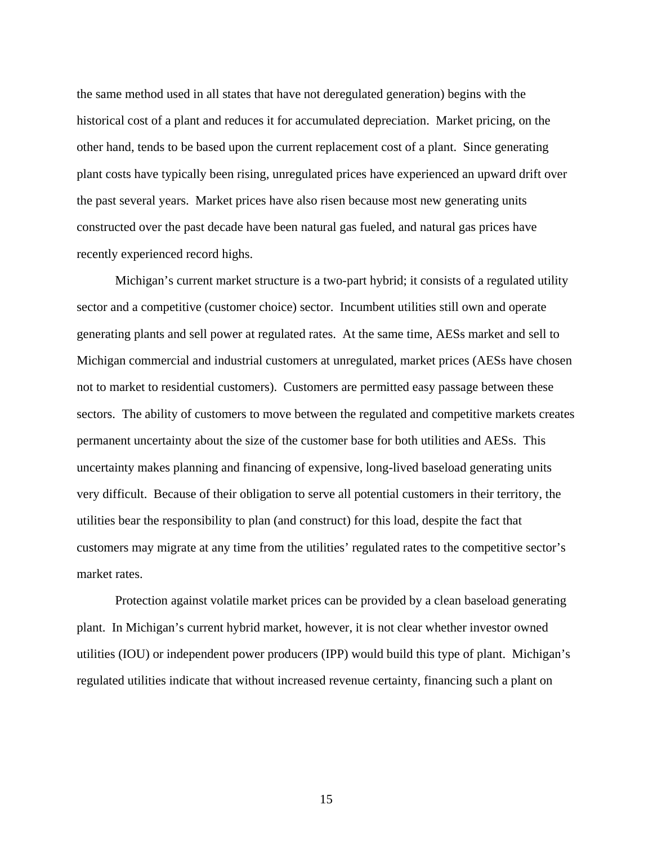the same method used in all states that have not deregulated generation) begins with the historical cost of a plant and reduces it for accumulated depreciation. Market pricing, on the other hand, tends to be based upon the current replacement cost of a plant. Since generating plant costs have typically been rising, unregulated prices have experienced an upward drift over the past several years. Market prices have also risen because most new generating units constructed over the past decade have been natural gas fueled, and natural gas prices have recently experienced record highs.

 Michigan's current market structure is a two-part hybrid; it consists of a regulated utility sector and a competitive (customer choice) sector. Incumbent utilities still own and operate generating plants and sell power at regulated rates. At the same time, AESs market and sell to Michigan commercial and industrial customers at unregulated, market prices (AESs have chosen not to market to residential customers). Customers are permitted easy passage between these sectors. The ability of customers to move between the regulated and competitive markets creates permanent uncertainty about the size of the customer base for both utilities and AESs. This uncertainty makes planning and financing of expensive, long-lived baseload generating units very difficult. Because of their obligation to serve all potential customers in their territory, the utilities bear the responsibility to plan (and construct) for this load, despite the fact that customers may migrate at any time from the utilities' regulated rates to the competitive sector's market rates.

 Protection against volatile market prices can be provided by a clean baseload generating plant. In Michigan's current hybrid market, however, it is not clear whether investor owned utilities (IOU) or independent power producers (IPP) would build this type of plant. Michigan's regulated utilities indicate that without increased revenue certainty, financing such a plant on

15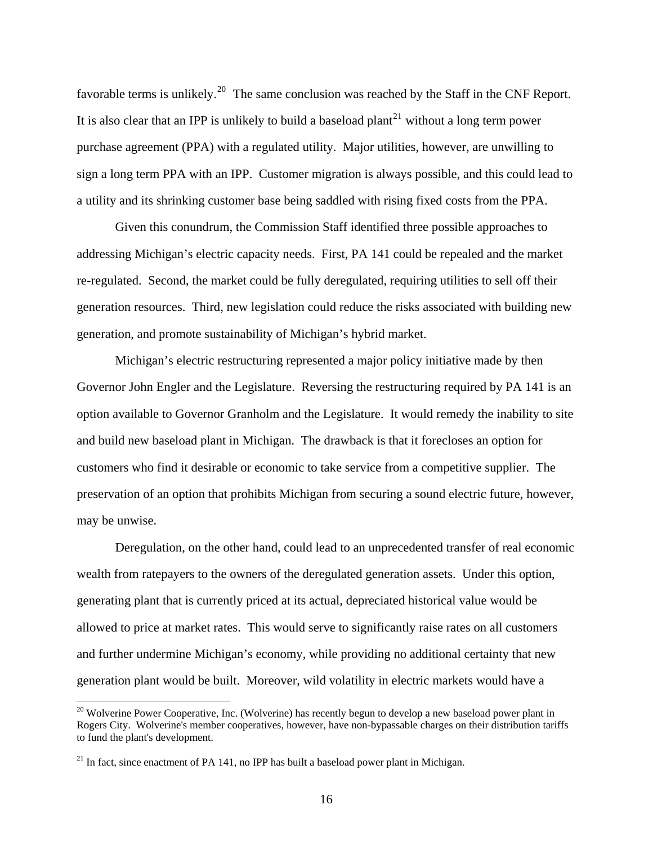favorable terms is unlikely.<sup>[20](#page-20-0)</sup> The same conclusion was reached by the Staff in the CNF Report. It is also clear that an IPP is unlikely to build a baseload plant<sup>[21](#page-20-1)</sup> without a long term power purchase agreement (PPA) with a regulated utility. Major utilities, however, are unwilling to sign a long term PPA with an IPP. Customer migration is always possible, and this could lead to a utility and its shrinking customer base being saddled with rising fixed costs from the PPA.

 Given this conundrum, the Commission Staff identified three possible approaches to addressing Michigan's electric capacity needs. First, PA 141 could be repealed and the market re-regulated. Second, the market could be fully deregulated, requiring utilities to sell off their generation resources. Third, new legislation could reduce the risks associated with building new generation, and promote sustainability of Michigan's hybrid market.

 Michigan's electric restructuring represented a major policy initiative made by then Governor John Engler and the Legislature. Reversing the restructuring required by PA 141 is an option available to Governor Granholm and the Legislature. It would remedy the inability to site and build new baseload plant in Michigan. The drawback is that it forecloses an option for customers who find it desirable or economic to take service from a competitive supplier. The preservation of an option that prohibits Michigan from securing a sound electric future, however, may be unwise.

 Deregulation, on the other hand, could lead to an unprecedented transfer of real economic wealth from ratepayers to the owners of the deregulated generation assets. Under this option, generating plant that is currently priced at its actual, depreciated historical value would be allowed to price at market rates. This would serve to significantly raise rates on all customers and further undermine Michigan's economy, while providing no additional certainty that new generation plant would be built. Moreover, wild volatility in electric markets would have a

<span id="page-20-0"></span><sup>&</sup>lt;sup>20</sup> Wolverine Power Cooperative, Inc. (Wolverine) has recently begun to develop a new baseload power plant in Rogers City. Wolverine's member cooperatives, however, have non-bypassable charges on their distribution tariffs to fund the plant's development.

<span id="page-20-1"></span> $21$  In fact, since enactment of PA 141, no IPP has built a baseload power plant in Michigan.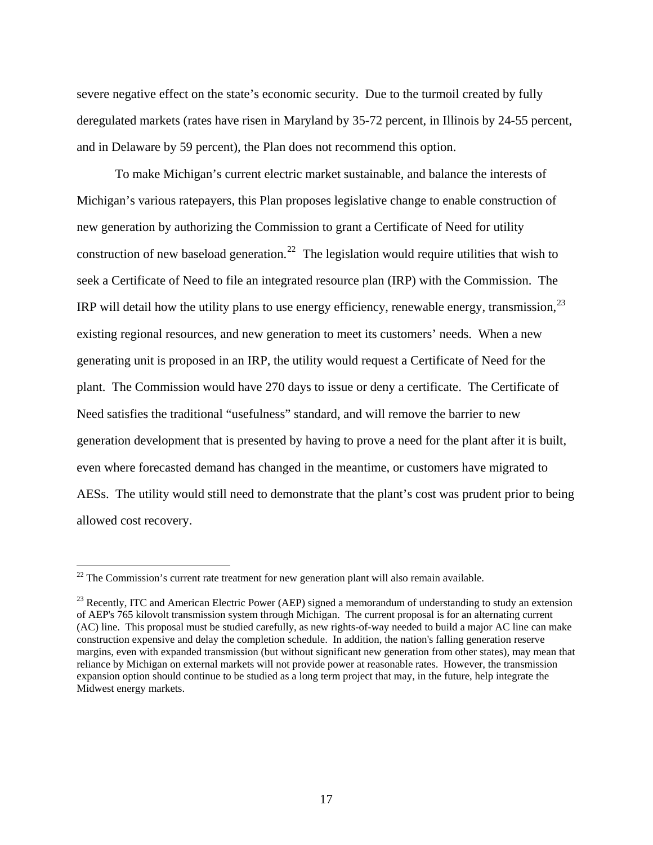severe negative effect on the state's economic security. Due to the turmoil created by fully deregulated markets (rates have risen in Maryland by 35-72 percent, in Illinois by 24-55 percent, and in Delaware by 59 percent), the Plan does not recommend this option.

 To make Michigan's current electric market sustainable, and balance the interests of Michigan's various ratepayers, this Plan proposes legislative change to enable construction of new generation by authorizing the Commission to grant a Certificate of Need for utility construction of new baseload generation.<sup>[22](#page-21-0)</sup> The legislation would require utilities that wish to seek a Certificate of Need to file an integrated resource plan (IRP) with the Commission. The IRP will detail how the utility plans to use energy efficiency, renewable energy, transmission,  $^{23}$  $^{23}$  $^{23}$ existing regional resources, and new generation to meet its customers' needs. When a new generating unit is proposed in an IRP, the utility would request a Certificate of Need for the plant. The Commission would have 270 days to issue or deny a certificate. The Certificate of Need satisfies the traditional "usefulness" standard, and will remove the barrier to new generation development that is presented by having to prove a need for the plant after it is built, even where forecasted demand has changed in the meantime, or customers have migrated to AESs. The utility would still need to demonstrate that the plant's cost was prudent prior to being allowed cost recovery.

1

<span id="page-21-0"></span> $22$  The Commission's current rate treatment for new generation plant will also remain available.

<span id="page-21-1"></span><sup>&</sup>lt;sup>23</sup> Recently, ITC and American Electric Power (AEP) signed a memorandum of understanding to study an extension of AEP's 765 kilovolt transmission system through Michigan. The current proposal is for an alternating current (AC) line. This proposal must be studied carefully, as new rights-of-way needed to build a major AC line can make construction expensive and delay the completion schedule. In addition, the nation's falling generation reserve margins, even with expanded transmission (but without significant new generation from other states), may mean that reliance by Michigan on external markets will not provide power at reasonable rates. However, the transmission expansion option should continue to be studied as a long term project that may, in the future, help integrate the Midwest energy markets.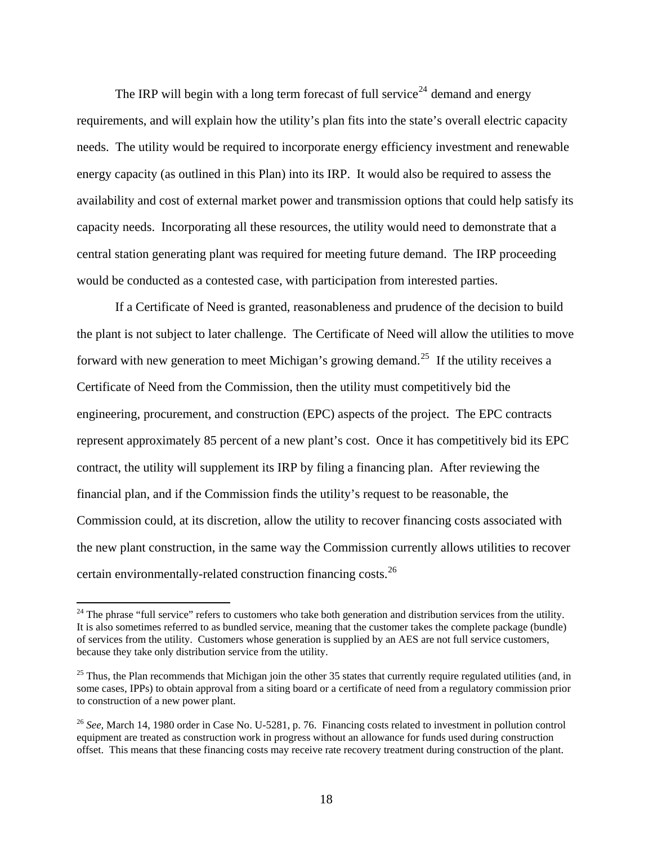The IRP will begin with a long term forecast of full service<sup>[24](#page-22-0)</sup> demand and energy requirements, and will explain how the utility's plan fits into the state's overall electric capacity needs. The utility would be required to incorporate energy efficiency investment and renewable energy capacity (as outlined in this Plan) into its IRP. It would also be required to assess the availability and cost of external market power and transmission options that could help satisfy its capacity needs. Incorporating all these resources, the utility would need to demonstrate that a central station generating plant was required for meeting future demand. The IRP proceeding would be conducted as a contested case, with participation from interested parties.

 If a Certificate of Need is granted, reasonableness and prudence of the decision to build the plant is not subject to later challenge. The Certificate of Need will allow the utilities to move forward with new generation to meet Michigan's growing demand.<sup>[25](#page-22-1)</sup> If the utility receives a Certificate of Need from the Commission, then the utility must competitively bid the engineering, procurement, and construction (EPC) aspects of the project. The EPC contracts represent approximately 85 percent of a new plant's cost. Once it has competitively bid its EPC contract, the utility will supplement its IRP by filing a financing plan. After reviewing the financial plan, and if the Commission finds the utility's request to be reasonable, the Commission could, at its discretion, allow the utility to recover financing costs associated with the new plant construction, in the same way the Commission currently allows utilities to recover certain environmentally-related construction financing costs.[26](#page-22-2)

<span id="page-22-0"></span> $24$  The phrase "full service" refers to customers who take both generation and distribution services from the utility. It is also sometimes referred to as bundled service, meaning that the customer takes the complete package (bundle) of services from the utility. Customers whose generation is supplied by an AES are not full service customers, because they take only distribution service from the utility.

<span id="page-22-1"></span> $25$  Thus, the Plan recommends that Michigan join the other 35 states that currently require regulated utilities (and, in some cases, IPPs) to obtain approval from a siting board or a certificate of need from a regulatory commission prior to construction of a new power plant.

<span id="page-22-2"></span><sup>26</sup> *See,* March 14, 1980 order in Case No. U-5281, p. 76. Financing costs related to investment in pollution control equipment are treated as construction work in progress without an allowance for funds used during construction offset. This means that these financing costs may receive rate recovery treatment during construction of the plant.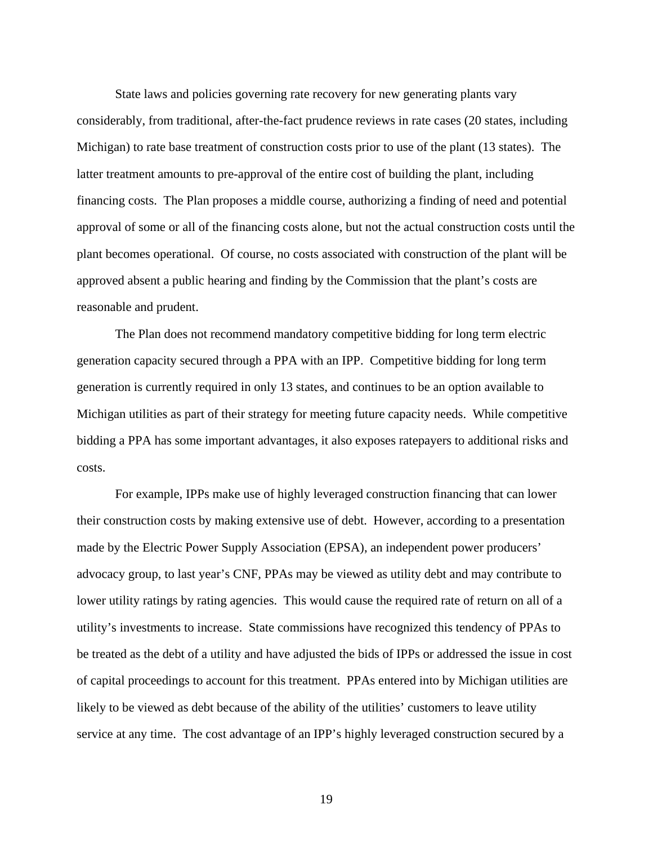State laws and policies governing rate recovery for new generating plants vary considerably, from traditional, after-the-fact prudence reviews in rate cases (20 states, including Michigan) to rate base treatment of construction costs prior to use of the plant (13 states). The latter treatment amounts to pre-approval of the entire cost of building the plant, including financing costs. The Plan proposes a middle course, authorizing a finding of need and potential approval of some or all of the financing costs alone, but not the actual construction costs until the plant becomes operational. Of course, no costs associated with construction of the plant will be approved absent a public hearing and finding by the Commission that the plant's costs are reasonable and prudent.

 The Plan does not recommend mandatory competitive bidding for long term electric generation capacity secured through a PPA with an IPP. Competitive bidding for long term generation is currently required in only 13 states, and continues to be an option available to Michigan utilities as part of their strategy for meeting future capacity needs. While competitive bidding a PPA has some important advantages, it also exposes ratepayers to additional risks and costs.

 For example, IPPs make use of highly leveraged construction financing that can lower their construction costs by making extensive use of debt. However, according to a presentation made by the Electric Power Supply Association (EPSA), an independent power producers' advocacy group, to last year's CNF, PPAs may be viewed as utility debt and may contribute to lower utility ratings by rating agencies. This would cause the required rate of return on all of a utility's investments to increase. State commissions have recognized this tendency of PPAs to be treated as the debt of a utility and have adjusted the bids of IPPs or addressed the issue in cost of capital proceedings to account for this treatment. PPAs entered into by Michigan utilities are likely to be viewed as debt because of the ability of the utilities' customers to leave utility service at any time. The cost advantage of an IPP's highly leveraged construction secured by a

19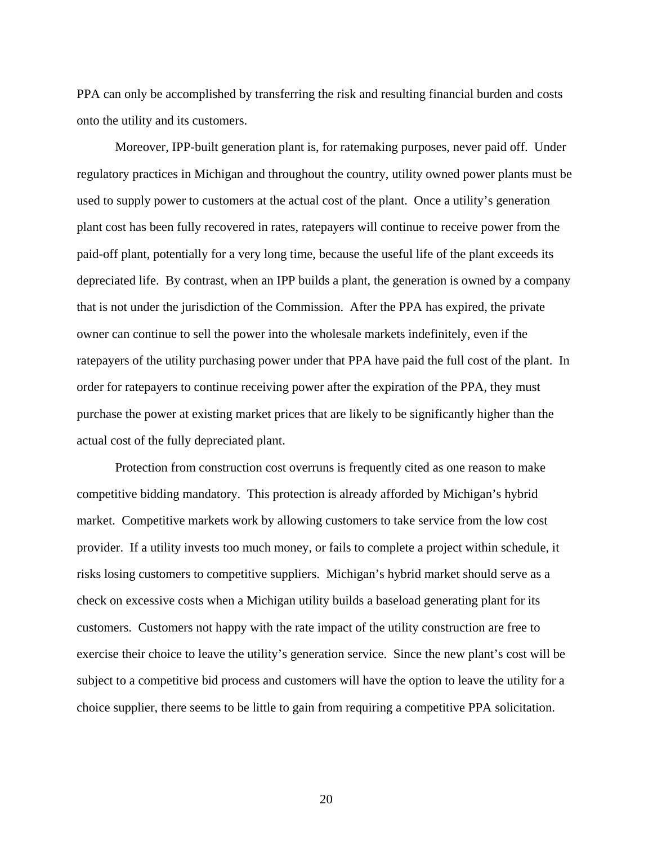PPA can only be accomplished by transferring the risk and resulting financial burden and costs onto the utility and its customers.

 Moreover, IPP-built generation plant is, for ratemaking purposes, never paid off. Under regulatory practices in Michigan and throughout the country, utility owned power plants must be used to supply power to customers at the actual cost of the plant. Once a utility's generation plant cost has been fully recovered in rates, ratepayers will continue to receive power from the paid-off plant, potentially for a very long time, because the useful life of the plant exceeds its depreciated life. By contrast, when an IPP builds a plant, the generation is owned by a company that is not under the jurisdiction of the Commission. After the PPA has expired, the private owner can continue to sell the power into the wholesale markets indefinitely, even if the ratepayers of the utility purchasing power under that PPA have paid the full cost of the plant. In order for ratepayers to continue receiving power after the expiration of the PPA, they must purchase the power at existing market prices that are likely to be significantly higher than the actual cost of the fully depreciated plant.

 Protection from construction cost overruns is frequently cited as one reason to make competitive bidding mandatory. This protection is already afforded by Michigan's hybrid market. Competitive markets work by allowing customers to take service from the low cost provider. If a utility invests too much money, or fails to complete a project within schedule, it risks losing customers to competitive suppliers. Michigan's hybrid market should serve as a check on excessive costs when a Michigan utility builds a baseload generating plant for its customers. Customers not happy with the rate impact of the utility construction are free to exercise their choice to leave the utility's generation service. Since the new plant's cost will be subject to a competitive bid process and customers will have the option to leave the utility for a choice supplier, there seems to be little to gain from requiring a competitive PPA solicitation.

20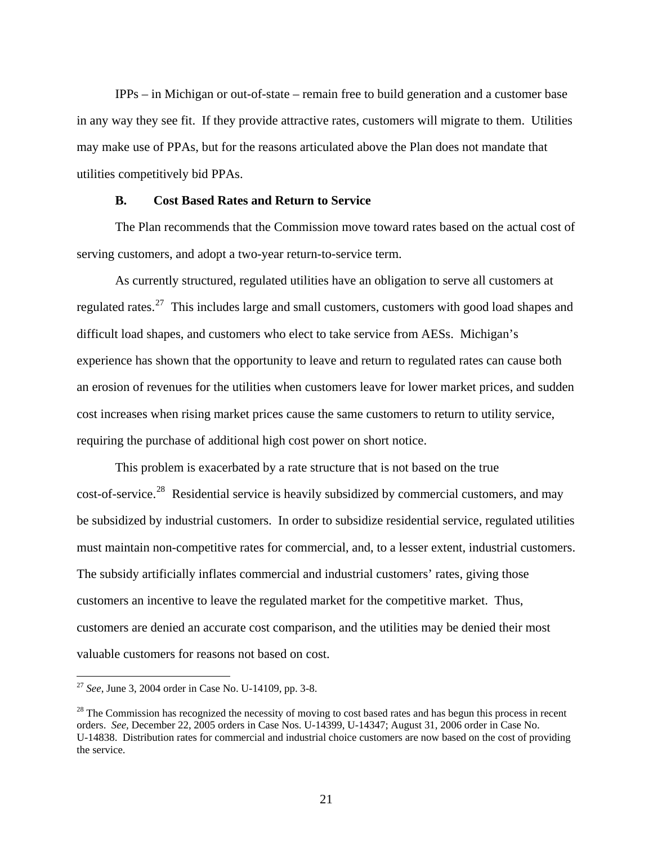IPPs – in Michigan or out-of-state – remain free to build generation and a customer base in any way they see fit. If they provide attractive rates, customers will migrate to them. Utilities may make use of PPAs, but for the reasons articulated above the Plan does not mandate that utilities competitively bid PPAs.

#### **B. Cost Based Rates and Return to Service**

 The Plan recommends that the Commission move toward rates based on the actual cost of serving customers, and adopt a two-year return-to-service term.

 As currently structured, regulated utilities have an obligation to serve all customers at regulated rates.<sup>[27](#page-25-0)</sup> This includes large and small customers, customers with good load shapes and difficult load shapes, and customers who elect to take service from AESs. Michigan's experience has shown that the opportunity to leave and return to regulated rates can cause both an erosion of revenues for the utilities when customers leave for lower market prices, and sudden cost increases when rising market prices cause the same customers to return to utility service, requiring the purchase of additional high cost power on short notice.

 This problem is exacerbated by a rate structure that is not based on the true cost-of-service.<sup>[28](#page-25-1)</sup> Residential service is heavily subsidized by commercial customers, and may be subsidized by industrial customers. In order to subsidize residential service, regulated utilities must maintain non-competitive rates for commercial, and, to a lesser extent, industrial customers. The subsidy artificially inflates commercial and industrial customers' rates, giving those customers an incentive to leave the regulated market for the competitive market. Thus, customers are denied an accurate cost comparison, and the utilities may be denied their most valuable customers for reasons not based on cost.

<span id="page-25-0"></span><sup>27</sup> *See*, June 3, 2004 order in Case No. U-14109, pp. 3-8.

<span id="page-25-1"></span> $2<sup>8</sup>$  The Commission has recognized the necessity of moving to cost based rates and has begun this process in recent orders. *See,* December 22, 2005 orders in Case Nos. U-14399, U-14347; August 31, 2006 order in Case No. U-14838. Distribution rates for commercial and industrial choice customers are now based on the cost of providing the service.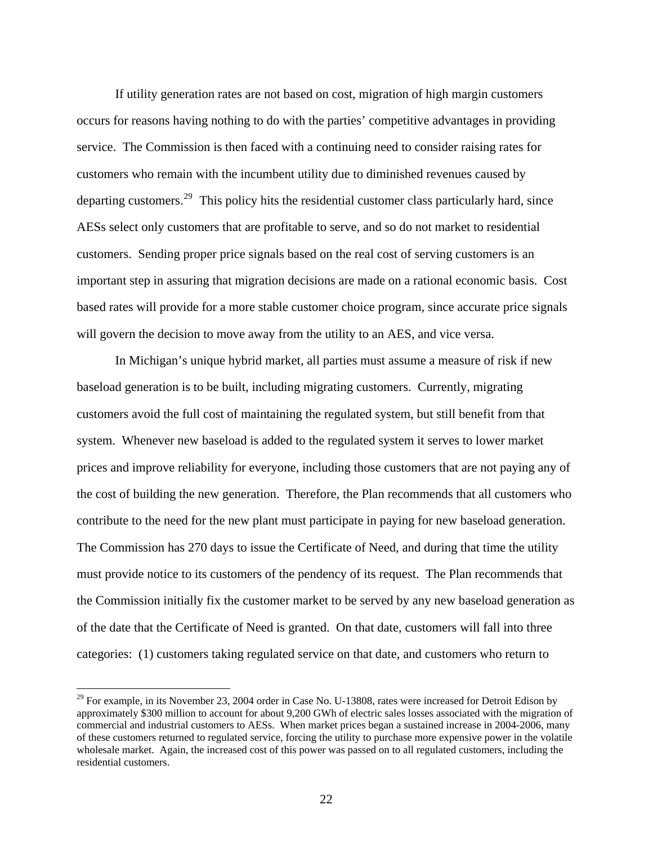If utility generation rates are not based on cost, migration of high margin customers occurs for reasons having nothing to do with the parties' competitive advantages in providing service. The Commission is then faced with a continuing need to consider raising rates for customers who remain with the incumbent utility due to diminished revenues caused by departing customers.<sup>[29](#page-26-0)</sup> This policy hits the residential customer class particularly hard, since AESs select only customers that are profitable to serve, and so do not market to residential customers. Sending proper price signals based on the real cost of serving customers is an important step in assuring that migration decisions are made on a rational economic basis. Cost based rates will provide for a more stable customer choice program, since accurate price signals will govern the decision to move away from the utility to an AES, and vice versa.

 In Michigan's unique hybrid market, all parties must assume a measure of risk if new baseload generation is to be built, including migrating customers. Currently, migrating customers avoid the full cost of maintaining the regulated system, but still benefit from that system. Whenever new baseload is added to the regulated system it serves to lower market prices and improve reliability for everyone, including those customers that are not paying any of the cost of building the new generation. Therefore, the Plan recommends that all customers who contribute to the need for the new plant must participate in paying for new baseload generation. The Commission has 270 days to issue the Certificate of Need, and during that time the utility must provide notice to its customers of the pendency of its request. The Plan recommends that the Commission initially fix the customer market to be served by any new baseload generation as of the date that the Certificate of Need is granted. On that date, customers will fall into three categories: (1) customers taking regulated service on that date, and customers who return to

<span id="page-26-0"></span> $^{29}$  For example, in its November 23, 2004 order in Case No. U-13808, rates were increased for Detroit Edison by approximately \$300 million to account for about 9,200 GWh of electric sales losses associated with the migration of commercial and industrial customers to AESs. When market prices began a sustained increase in 2004-2006, many of these customers returned to regulated service, forcing the utility to purchase more expensive power in the volatile wholesale market. Again, the increased cost of this power was passed on to all regulated customers, including the residential customers.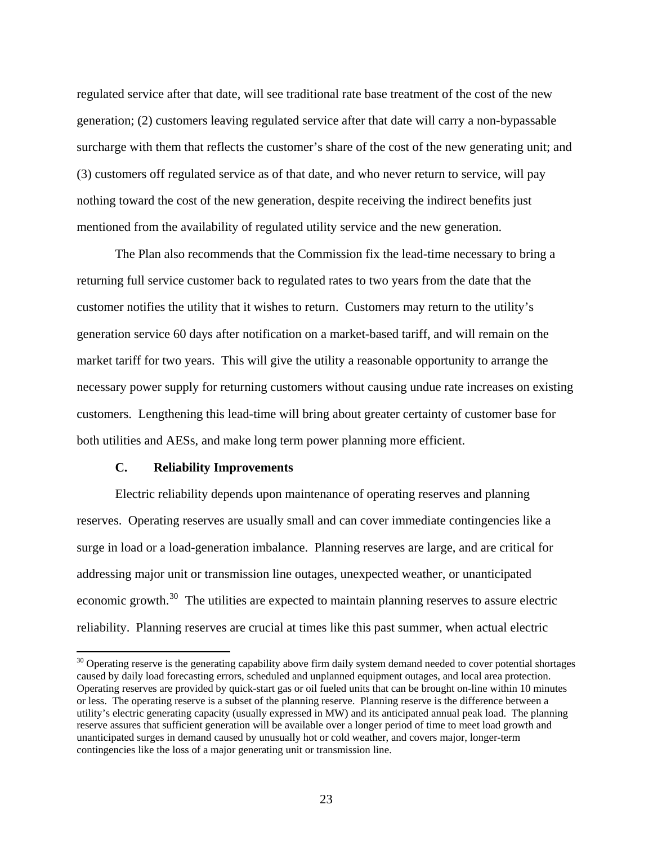regulated service after that date, will see traditional rate base treatment of the cost of the new generation; (2) customers leaving regulated service after that date will carry a non-bypassable surcharge with them that reflects the customer's share of the cost of the new generating unit; and (3) customers off regulated service as of that date, and who never return to service, will pay nothing toward the cost of the new generation, despite receiving the indirect benefits just mentioned from the availability of regulated utility service and the new generation.

 The Plan also recommends that the Commission fix the lead-time necessary to bring a returning full service customer back to regulated rates to two years from the date that the customer notifies the utility that it wishes to return. Customers may return to the utility's generation service 60 days after notification on a market-based tariff, and will remain on the market tariff for two years. This will give the utility a reasonable opportunity to arrange the necessary power supply for returning customers without causing undue rate increases on existing customers. Lengthening this lead-time will bring about greater certainty of customer base for both utilities and AESs, and make long term power planning more efficient.

#### **C. Reliability Improvements**

 $\overline{a}$ 

 Electric reliability depends upon maintenance of operating reserves and planning reserves. Operating reserves are usually small and can cover immediate contingencies like a surge in load or a load-generation imbalance. Planning reserves are large, and are critical for addressing major unit or transmission line outages, unexpected weather, or unanticipated economic growth.<sup>[30](#page-27-0)</sup> The utilities are expected to maintain planning reserves to assure electric reliability. Planning reserves are crucial at times like this past summer, when actual electric

<span id="page-27-0"></span> $30$  Operating reserve is the generating capability above firm daily system demand needed to cover potential shortages caused by daily load forecasting errors, scheduled and unplanned equipment outages, and local area protection. Operating reserves are provided by quick-start gas or oil fueled units that can be brought on-line within 10 minutes or less. The operating reserve is a subset of the planning reserve. Planning reserve is the difference between a utility's electric generating capacity (usually expressed in MW) and its anticipated annual peak load. The planning reserve assures that sufficient generation will be available over a longer period of time to meet load growth and unanticipated surges in demand caused by unusually hot or cold weather, and covers major, longer-term contingencies like the loss of a major generating unit or transmission line.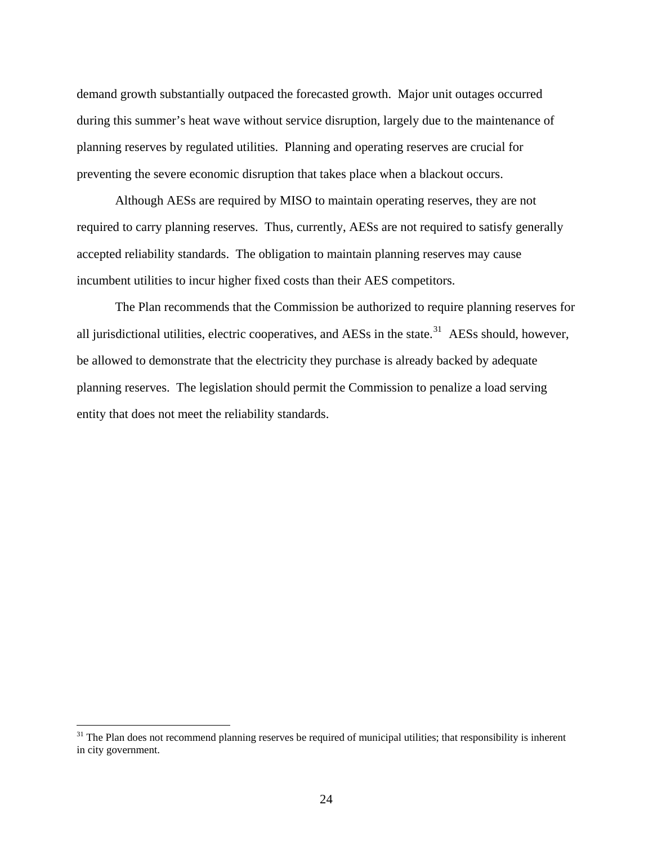demand growth substantially outpaced the forecasted growth. Major unit outages occurred during this summer's heat wave without service disruption, largely due to the maintenance of planning reserves by regulated utilities. Planning and operating reserves are crucial for preventing the severe economic disruption that takes place when a blackout occurs.

 Although AESs are required by MISO to maintain operating reserves, they are not required to carry planning reserves. Thus, currently, AESs are not required to satisfy generally accepted reliability standards. The obligation to maintain planning reserves may cause incumbent utilities to incur higher fixed costs than their AES competitors.

 The Plan recommends that the Commission be authorized to require planning reserves for all jurisdictional utilities, electric cooperatives, and AESs in the state.<sup>[31](#page-28-0)</sup> AESs should, however, be allowed to demonstrate that the electricity they purchase is already backed by adequate planning reserves. The legislation should permit the Commission to penalize a load serving entity that does not meet the reliability standards.

<span id="page-28-0"></span> $31$  The Plan does not recommend planning reserves be required of municipal utilities; that responsibility is inherent in city government.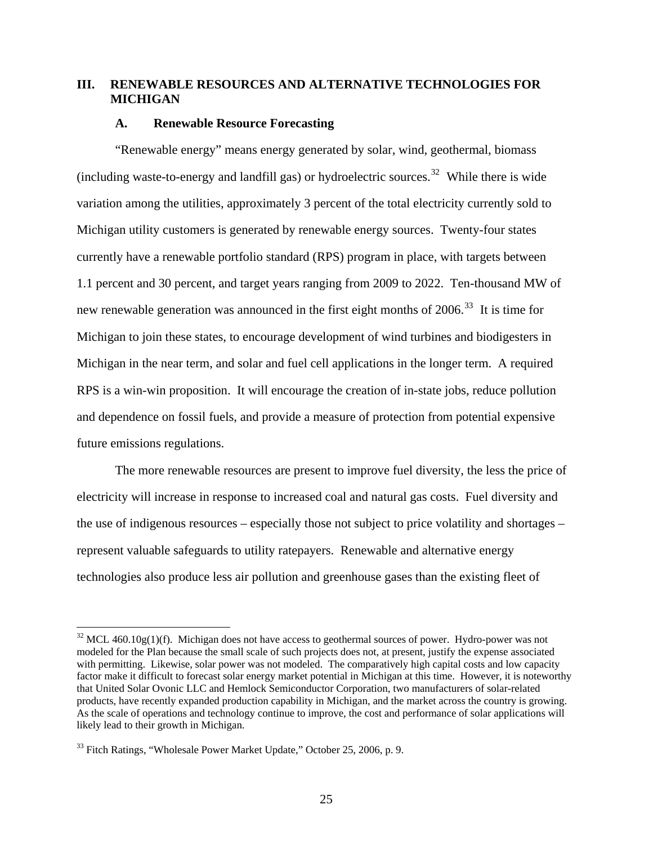#### **III. RENEWABLE RESOURCES AND ALTERNATIVE TECHNOLOGIES FOR MICHIGAN**

#### **A. Renewable Resource Forecasting**

 "Renewable energy" means energy generated by solar, wind, geothermal, biomass (including waste-to-energy and landfill gas) or hydroelectric sources.<sup>[32](#page-29-0)</sup> While there is wide variation among the utilities, approximately 3 percent of the total electricity currently sold to Michigan utility customers is generated by renewable energy sources. Twenty-four states currently have a renewable portfolio standard (RPS) program in place, with targets between 1.1 percent and 30 percent, and target years ranging from 2009 to 2022. Ten-thousand MW of new renewable generation was announced in the first eight months of  $2006$ .<sup>[33](#page-29-1)</sup> It is time for Michigan to join these states, to encourage development of wind turbines and biodigesters in Michigan in the near term, and solar and fuel cell applications in the longer term. A required RPS is a win-win proposition. It will encourage the creation of in-state jobs, reduce pollution and dependence on fossil fuels, and provide a measure of protection from potential expensive future emissions regulations.

 The more renewable resources are present to improve fuel diversity, the less the price of electricity will increase in response to increased coal and natural gas costs. Fuel diversity and the use of indigenous resources – especially those not subject to price volatility and shortages – represent valuable safeguards to utility ratepayers. Renewable and alternative energy technologies also produce less air pollution and greenhouse gases than the existing fleet of

<span id="page-29-0"></span> $32$  MCL 460.10g(1)(f). Michigan does not have access to geothermal sources of power. Hydro-power was not modeled for the Plan because the small scale of such projects does not, at present, justify the expense associated with permitting. Likewise, solar power was not modeled. The comparatively high capital costs and low capacity factor make it difficult to forecast solar energy market potential in Michigan at this time. However, it is noteworthy that United Solar Ovonic LLC and Hemlock Semiconductor Corporation, two manufacturers of solar-related products, have recently expanded production capability in Michigan, and the market across the country is growing. As the scale of operations and technology continue to improve, the cost and performance of solar applications will likely lead to their growth in Michigan.

<span id="page-29-1"></span><sup>&</sup>lt;sup>33</sup> Fitch Ratings, "Wholesale Power Market Update," October 25, 2006, p. 9.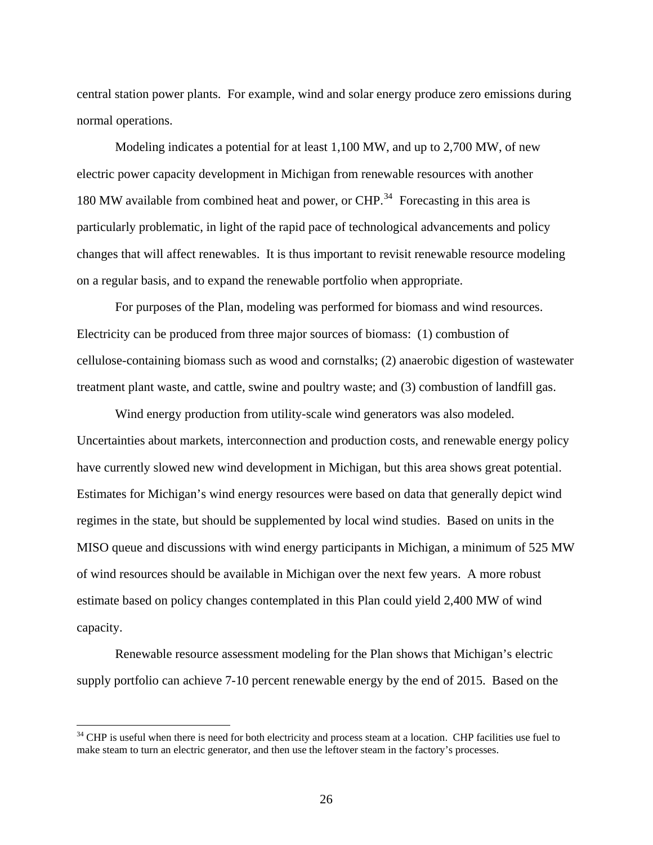central station power plants. For example, wind and solar energy produce zero emissions during normal operations.

 Modeling indicates a potential for at least 1,100 MW, and up to 2,700 MW, of new electric power capacity development in Michigan from renewable resources with another 180 MW available from combined heat and power, or  $CHP<sup>34</sup>$  $CHP<sup>34</sup>$  $CHP<sup>34</sup>$  Forecasting in this area is particularly problematic, in light of the rapid pace of technological advancements and policy changes that will affect renewables. It is thus important to revisit renewable resource modeling on a regular basis, and to expand the renewable portfolio when appropriate.

 For purposes of the Plan, modeling was performed for biomass and wind resources. Electricity can be produced from three major sources of biomass: (1) combustion of cellulose-containing biomass such as wood and cornstalks; (2) anaerobic digestion of wastewater treatment plant waste, and cattle, swine and poultry waste; and (3) combustion of landfill gas.

 Wind energy production from utility-scale wind generators was also modeled. Uncertainties about markets, interconnection and production costs, and renewable energy policy have currently slowed new wind development in Michigan, but this area shows great potential. Estimates for Michigan's wind energy resources were based on data that generally depict wind regimes in the state, but should be supplemented by local wind studies. Based on units in the MISO queue and discussions with wind energy participants in Michigan, a minimum of 525 MW of wind resources should be available in Michigan over the next few years. A more robust estimate based on policy changes contemplated in this Plan could yield 2,400 MW of wind capacity.

 Renewable resource assessment modeling for the Plan shows that Michigan's electric supply portfolio can achieve 7-10 percent renewable energy by the end of 2015. Based on the

<span id="page-30-0"></span><sup>&</sup>lt;sup>34</sup> CHP is useful when there is need for both electricity and process steam at a location. CHP facilities use fuel to make steam to turn an electric generator, and then use the leftover steam in the factory's processes.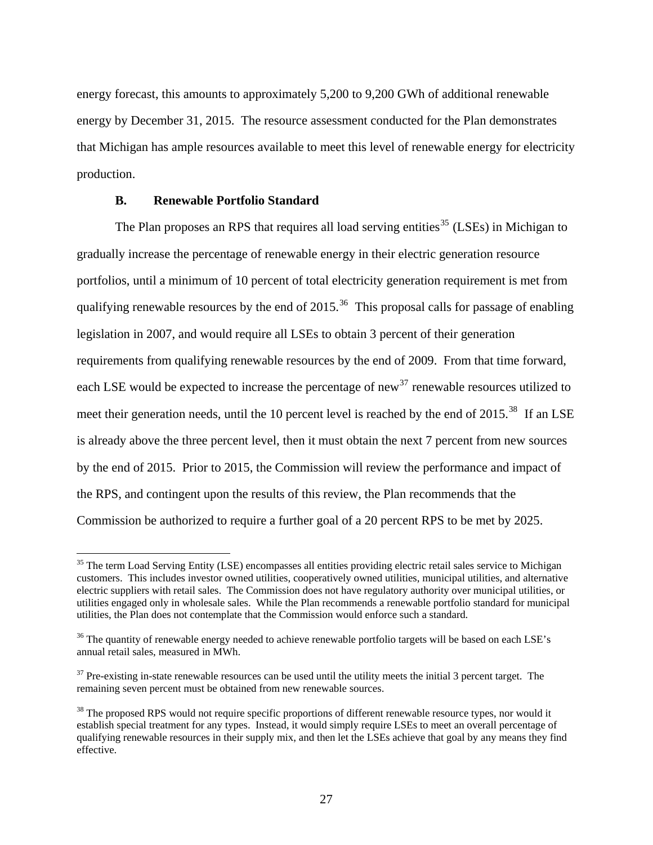energy forecast, this amounts to approximately 5,200 to 9,200 GWh of additional renewable energy by December 31, 2015. The resource assessment conducted for the Plan demonstrates that Michigan has ample resources available to meet this level of renewable energy for electricity production.

#### **B. Renewable Portfolio Standard**

 $\overline{a}$ 

The Plan proposes an RPS that requires all load serving entities<sup>[35](#page-31-0)</sup> (LSEs) in Michigan to gradually increase the percentage of renewable energy in their electric generation resource portfolios, until a minimum of 10 percent of total electricity generation requirement is met from qualifying renewable resources by the end of 2015.<sup>[36](#page-31-1)</sup> This proposal calls for passage of enabling legislation in 2007, and would require all LSEs to obtain 3 percent of their generation requirements from qualifying renewable resources by the end of 2009. From that time forward, each LSE would be expected to increase the percentage of new<sup>[37](#page-31-2)</sup> renewable resources utilized to meet their generation needs, until the 10 percent level is reached by the end of 2015.<sup>[38](#page-31-3)</sup> If an LSE is already above the three percent level, then it must obtain the next 7 percent from new sources by the end of 2015. Prior to 2015, the Commission will review the performance and impact of the RPS, and contingent upon the results of this review, the Plan recommends that the Commission be authorized to require a further goal of a 20 percent RPS to be met by 2025.

<span id="page-31-0"></span><sup>&</sup>lt;sup>35</sup> The term Load Serving Entity (LSE) encompasses all entities providing electric retail sales service to Michigan customers. This includes investor owned utilities, cooperatively owned utilities, municipal utilities, and alternative electric suppliers with retail sales. The Commission does not have regulatory authority over municipal utilities, or utilities engaged only in wholesale sales. While the Plan recommends a renewable portfolio standard for municipal utilities, the Plan does not contemplate that the Commission would enforce such a standard.

<span id="page-31-1"></span><sup>&</sup>lt;sup>36</sup> The quantity of renewable energy needed to achieve renewable portfolio targets will be based on each LSE's annual retail sales, measured in MWh.

<span id="page-31-2"></span> $37$  Pre-existing in-state renewable resources can be used until the utility meets the initial 3 percent target. The remaining seven percent must be obtained from new renewable sources.

<span id="page-31-3"></span><sup>&</sup>lt;sup>38</sup> The proposed RPS would not require specific proportions of different renewable resource types, nor would it establish special treatment for any types. Instead, it would simply require LSEs to meet an overall percentage of qualifying renewable resources in their supply mix, and then let the LSEs achieve that goal by any means they find effective.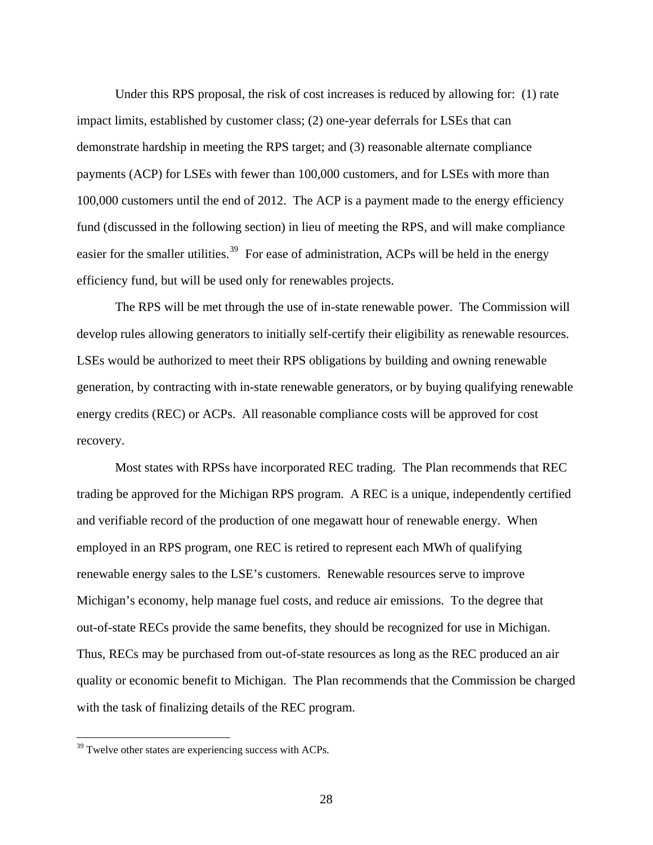Under this RPS proposal, the risk of cost increases is reduced by allowing for: (1) rate impact limits, established by customer class; (2) one-year deferrals for LSEs that can demonstrate hardship in meeting the RPS target; and (3) reasonable alternate compliance payments (ACP) for LSEs with fewer than 100,000 customers, and for LSEs with more than 100,000 customers until the end of 2012. The ACP is a payment made to the energy efficiency fund (discussed in the following section) in lieu of meeting the RPS, and will make compliance easier for the smaller utilities.<sup>[39](#page-32-0)</sup> For ease of administration, ACPs will be held in the energy efficiency fund, but will be used only for renewables projects.

 The RPS will be met through the use of in-state renewable power. The Commission will develop rules allowing generators to initially self-certify their eligibility as renewable resources. LSEs would be authorized to meet their RPS obligations by building and owning renewable generation, by contracting with in-state renewable generators, or by buying qualifying renewable energy credits (REC) or ACPs. All reasonable compliance costs will be approved for cost recovery.

 Most states with RPSs have incorporated REC trading. The Plan recommends that REC trading be approved for the Michigan RPS program. A REC is a unique, independently certified and verifiable record of the production of one megawatt hour of renewable energy. When employed in an RPS program, one REC is retired to represent each MWh of qualifying renewable energy sales to the LSE's customers. Renewable resources serve to improve Michigan's economy, help manage fuel costs, and reduce air emissions. To the degree that out-of-state RECs provide the same benefits, they should be recognized for use in Michigan. Thus, RECs may be purchased from out-of-state resources as long as the REC produced an air quality or economic benefit to Michigan. The Plan recommends that the Commission be charged with the task of finalizing details of the REC program.

<span id="page-32-0"></span> $39$  Twelve other states are experiencing success with ACPs.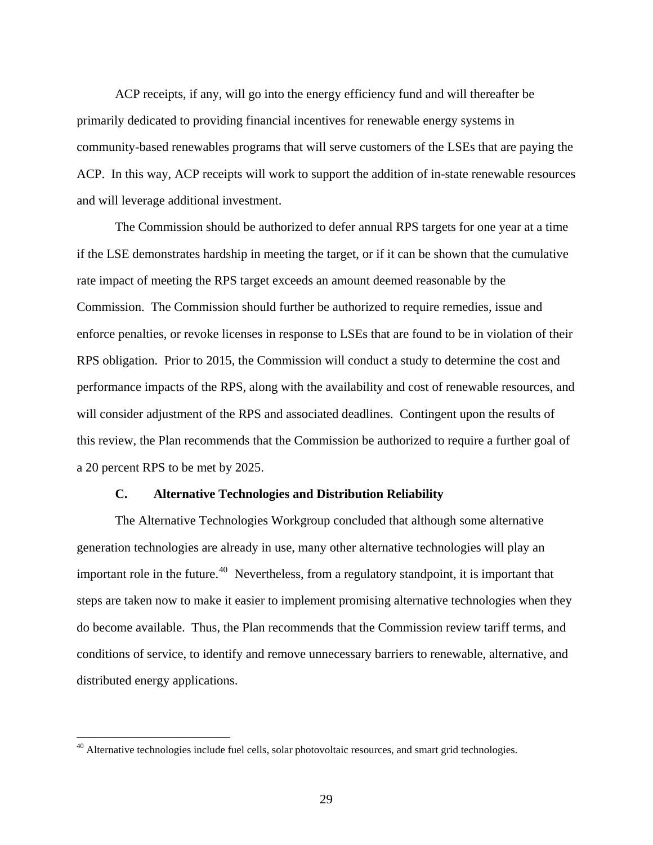ACP receipts, if any, will go into the energy efficiency fund and will thereafter be primarily dedicated to providing financial incentives for renewable energy systems in community-based renewables programs that will serve customers of the LSEs that are paying the ACP. In this way, ACP receipts will work to support the addition of in-state renewable resources and will leverage additional investment.

 The Commission should be authorized to defer annual RPS targets for one year at a time if the LSE demonstrates hardship in meeting the target, or if it can be shown that the cumulative rate impact of meeting the RPS target exceeds an amount deemed reasonable by the Commission. The Commission should further be authorized to require remedies, issue and enforce penalties, or revoke licenses in response to LSEs that are found to be in violation of their RPS obligation. Prior to 2015, the Commission will conduct a study to determine the cost and performance impacts of the RPS, along with the availability and cost of renewable resources, and will consider adjustment of the RPS and associated deadlines. Contingent upon the results of this review, the Plan recommends that the Commission be authorized to require a further goal of a 20 percent RPS to be met by 2025.

#### **C. Alternative Technologies and Distribution Reliability**

 The Alternative Technologies Workgroup concluded that although some alternative generation technologies are already in use, many other alternative technologies will play an important role in the future.<sup>[40](#page-33-0)</sup> Nevertheless, from a regulatory standpoint, it is important that steps are taken now to make it easier to implement promising alternative technologies when they do become available. Thus, the Plan recommends that the Commission review tariff terms, and conditions of service, to identify and remove unnecessary barriers to renewable, alternative, and distributed energy applications.

<span id="page-33-0"></span><sup>&</sup>lt;sup>40</sup> Alternative technologies include fuel cells, solar photovoltaic resources, and smart grid technologies.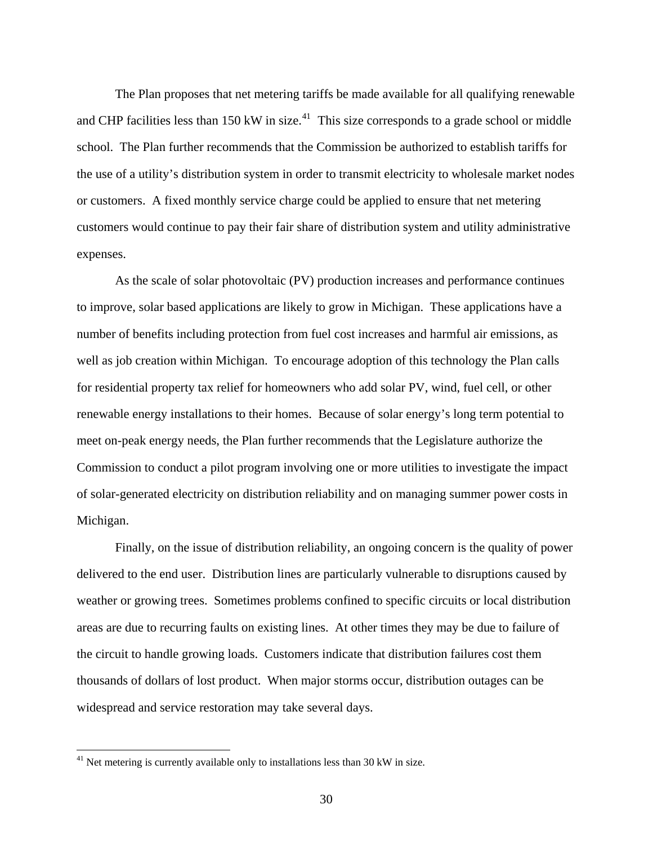The Plan proposes that net metering tariffs be made available for all qualifying renewable and CHP facilities less than  $150 \text{ kW}$  in size.<sup>[41](#page-34-0)</sup> This size corresponds to a grade school or middle school. The Plan further recommends that the Commission be authorized to establish tariffs for the use of a utility's distribution system in order to transmit electricity to wholesale market nodes or customers. A fixed monthly service charge could be applied to ensure that net metering customers would continue to pay their fair share of distribution system and utility administrative expenses.

 As the scale of solar photovoltaic (PV) production increases and performance continues to improve, solar based applications are likely to grow in Michigan. These applications have a number of benefits including protection from fuel cost increases and harmful air emissions, as well as job creation within Michigan. To encourage adoption of this technology the Plan calls for residential property tax relief for homeowners who add solar PV, wind, fuel cell, or other renewable energy installations to their homes. Because of solar energy's long term potential to meet on-peak energy needs, the Plan further recommends that the Legislature authorize the Commission to conduct a pilot program involving one or more utilities to investigate the impact of solar-generated electricity on distribution reliability and on managing summer power costs in Michigan.

 Finally, on the issue of distribution reliability, an ongoing concern is the quality of power delivered to the end user. Distribution lines are particularly vulnerable to disruptions caused by weather or growing trees. Sometimes problems confined to specific circuits or local distribution areas are due to recurring faults on existing lines. At other times they may be due to failure of the circuit to handle growing loads. Customers indicate that distribution failures cost them thousands of dollars of lost product. When major storms occur, distribution outages can be widespread and service restoration may take several days.

<span id="page-34-0"></span> $41$  Net metering is currently available only to installations less than 30 kW in size.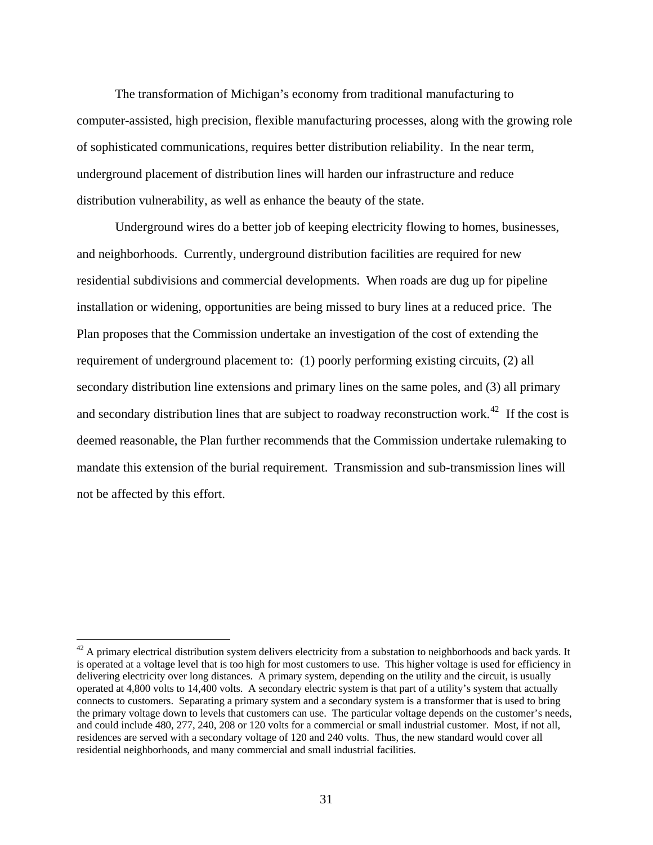The transformation of Michigan's economy from traditional manufacturing to computer-assisted, high precision, flexible manufacturing processes, along with the growing role of sophisticated communications, requires better distribution reliability. In the near term, underground placement of distribution lines will harden our infrastructure and reduce distribution vulnerability, as well as enhance the beauty of the state.

 Underground wires do a better job of keeping electricity flowing to homes, businesses, and neighborhoods. Currently, underground distribution facilities are required for new residential subdivisions and commercial developments. When roads are dug up for pipeline installation or widening, opportunities are being missed to bury lines at a reduced price. The Plan proposes that the Commission undertake an investigation of the cost of extending the requirement of underground placement to: (1) poorly performing existing circuits, (2) all secondary distribution line extensions and primary lines on the same poles, and (3) all primary and secondary distribution lines that are subject to roadway reconstruction work.<sup>[42](#page-35-0)</sup> If the cost is deemed reasonable, the Plan further recommends that the Commission undertake rulemaking to mandate this extension of the burial requirement. Transmission and sub-transmission lines will not be affected by this effort.

<span id="page-35-0"></span> $42$  A primary electrical distribution system delivers electricity from a substation to neighborhoods and back yards. It is operated at a voltage level that is too high for most customers to use. This higher voltage is used for efficiency in delivering electricity over long distances. A primary system, depending on the utility and the circuit, is usually operated at 4,800 volts to 14,400 volts. A secondary electric system is that part of a utility's system that actually connects to customers. Separating a primary system and a secondary system is a transformer that is used to bring the primary voltage down to levels that customers can use. The particular voltage depends on the customer's needs, and could include 480, 277, 240, 208 or 120 volts for a commercial or small industrial customer. Most, if not all, residences are served with a secondary voltage of 120 and 240 volts. Thus, the new standard would cover all residential neighborhoods, and many commercial and small industrial facilities.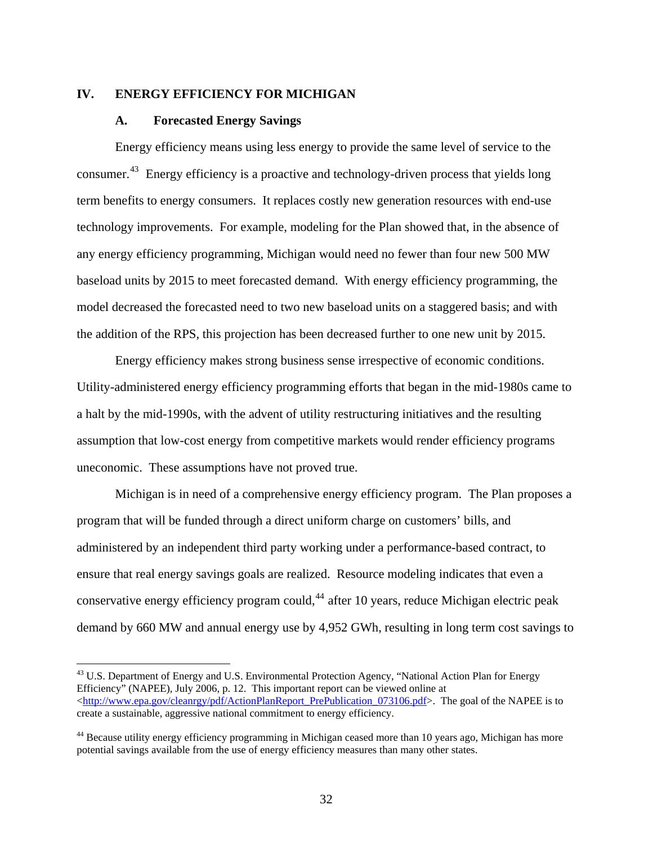#### **IV. ENERGY EFFICIENCY FOR MICHIGAN**

#### **A. Forecasted Energy Savings**

 $\overline{a}$ 

 Energy efficiency means using less energy to provide the same level of service to the consumer.[43](#page-36-0) Energy efficiency is a proactive and technology-driven process that yields long term benefits to energy consumers. It replaces costly new generation resources with end-use technology improvements. For example, modeling for the Plan showed that, in the absence of any energy efficiency programming, Michigan would need no fewer than four new 500 MW baseload units by 2015 to meet forecasted demand. With energy efficiency programming, the model decreased the forecasted need to two new baseload units on a staggered basis; and with the addition of the RPS, this projection has been decreased further to one new unit by 2015.

 Energy efficiency makes strong business sense irrespective of economic conditions. Utility-administered energy efficiency programming efforts that began in the mid-1980s came to a halt by the mid-1990s, with the advent of utility restructuring initiatives and the resulting assumption that low-cost energy from competitive markets would render efficiency programs uneconomic. These assumptions have not proved true.

 Michigan is in need of a comprehensive energy efficiency program. The Plan proposes a program that will be funded through a direct uniform charge on customers' bills, and administered by an independent third party working under a performance-based contract, to ensure that real energy savings goals are realized. Resource modeling indicates that even a conservative energy efficiency program could,  $44$  after 10 years, reduce Michigan electric peak demand by 660 MW and annual energy use by 4,952 GWh, resulting in long term cost savings to

<span id="page-36-0"></span><sup>&</sup>lt;sup>43</sup> U.S. Department of Energy and U.S. Environmental Protection Agency, "National Action Plan for Energy Efficiency" (NAPEE), July 2006, p. 12. This important report can be viewed online at  $\langle$ [http://www.epa.gov/cleanrgy/pdf/ActionPlanReport\\_PrePublication\\_073106.pdf](http://www.epa.gov/cleanrgy/pdf/ActionPlanReport_PrePublication_073106.pdf)>. The goal of the NAPEE is to create a sustainable, aggressive national commitment to energy efficiency.

<span id="page-36-1"></span><sup>&</sup>lt;sup>44</sup> Because utility energy efficiency programming in Michigan ceased more than 10 years ago, Michigan has more potential savings available from the use of energy efficiency measures than many other states.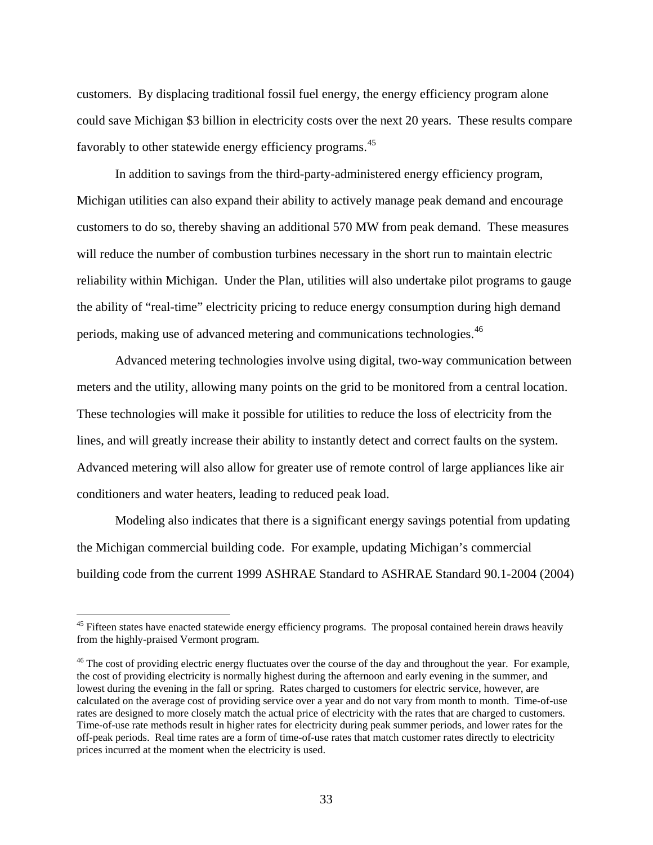customers. By displacing traditional fossil fuel energy, the energy efficiency program alone could save Michigan \$3 billion in electricity costs over the next 20 years. These results compare favorably to other statewide energy efficiency programs.<sup>[45](#page-37-0)</sup>

 In addition to savings from the third-party-administered energy efficiency program, Michigan utilities can also expand their ability to actively manage peak demand and encourage customers to do so, thereby shaving an additional 570 MW from peak demand. These measures will reduce the number of combustion turbines necessary in the short run to maintain electric reliability within Michigan. Under the Plan, utilities will also undertake pilot programs to gauge the ability of "real-time" electricity pricing to reduce energy consumption during high demand periods, making use of advanced metering and communications technologies.<sup>[46](#page-37-1)</sup>

 Advanced metering technologies involve using digital, two-way communication between meters and the utility, allowing many points on the grid to be monitored from a central location. These technologies will make it possible for utilities to reduce the loss of electricity from the lines, and will greatly increase their ability to instantly detect and correct faults on the system. Advanced metering will also allow for greater use of remote control of large appliances like air conditioners and water heaters, leading to reduced peak load.

 Modeling also indicates that there is a significant energy savings potential from updating the Michigan commercial building code. For example, updating Michigan's commercial building code from the current 1999 ASHRAE Standard to ASHRAE Standard 90.1-2004 (2004)

<span id="page-37-0"></span><sup>&</sup>lt;sup>45</sup> Fifteen states have enacted statewide energy efficiency programs. The proposal contained herein draws heavily from the highly-praised Vermont program.

<span id="page-37-1"></span><sup>&</sup>lt;sup>46</sup> The cost of providing electric energy fluctuates over the course of the day and throughout the year. For example, the cost of providing electricity is normally highest during the afternoon and early evening in the summer, and lowest during the evening in the fall or spring. Rates charged to customers for electric service, however, are calculated on the average cost of providing service over a year and do not vary from month to month. Time-of-use rates are designed to more closely match the actual price of electricity with the rates that are charged to customers. Time-of-use rate methods result in higher rates for electricity during peak summer periods, and lower rates for the off-peak periods. Real time rates are a form of time-of-use rates that match customer rates directly to electricity prices incurred at the moment when the electricity is used.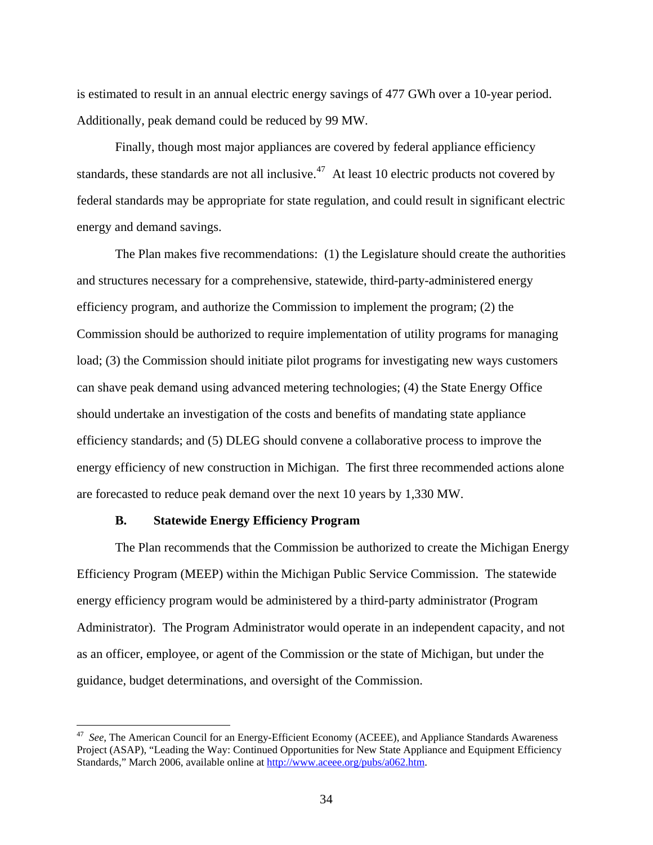is estimated to result in an annual electric energy savings of 477 GWh over a 10-year period. Additionally, peak demand could be reduced by 99 MW.

 Finally, though most major appliances are covered by federal appliance efficiency standards, these standards are not all inclusive.<sup>[47](#page-38-0)</sup> At least 10 electric products not covered by federal standards may be appropriate for state regulation, and could result in significant electric energy and demand savings.

 The Plan makes five recommendations: (1) the Legislature should create the authorities and structures necessary for a comprehensive, statewide, third-party-administered energy efficiency program, and authorize the Commission to implement the program; (2) the Commission should be authorized to require implementation of utility programs for managing load; (3) the Commission should initiate pilot programs for investigating new ways customers can shave peak demand using advanced metering technologies; (4) the State Energy Office should undertake an investigation of the costs and benefits of mandating state appliance efficiency standards; and (5) DLEG should convene a collaborative process to improve the energy efficiency of new construction in Michigan. The first three recommended actions alone are forecasted to reduce peak demand over the next 10 years by 1,330 MW.

#### **B. Statewide Energy Efficiency Program**

 $\overline{a}$ 

 The Plan recommends that the Commission be authorized to create the Michigan Energy Efficiency Program (MEEP) within the Michigan Public Service Commission. The statewide energy efficiency program would be administered by a third-party administrator (Program Administrator). The Program Administrator would operate in an independent capacity, and not as an officer, employee, or agent of the Commission or the state of Michigan, but under the guidance, budget determinations, and oversight of the Commission.

<span id="page-38-0"></span><sup>&</sup>lt;sup>47</sup> See, The American Council for an Energy-Efficient Economy (ACEEE), and Appliance Standards Awareness Project (ASAP), "Leading the Way: Continued Opportunities for New State Appliance and Equipment Efficiency Standards," March 2006, available online at [http://www.aceee.org/pubs/a062.htm.](http://www.aceee.org/pubs/a062.htm)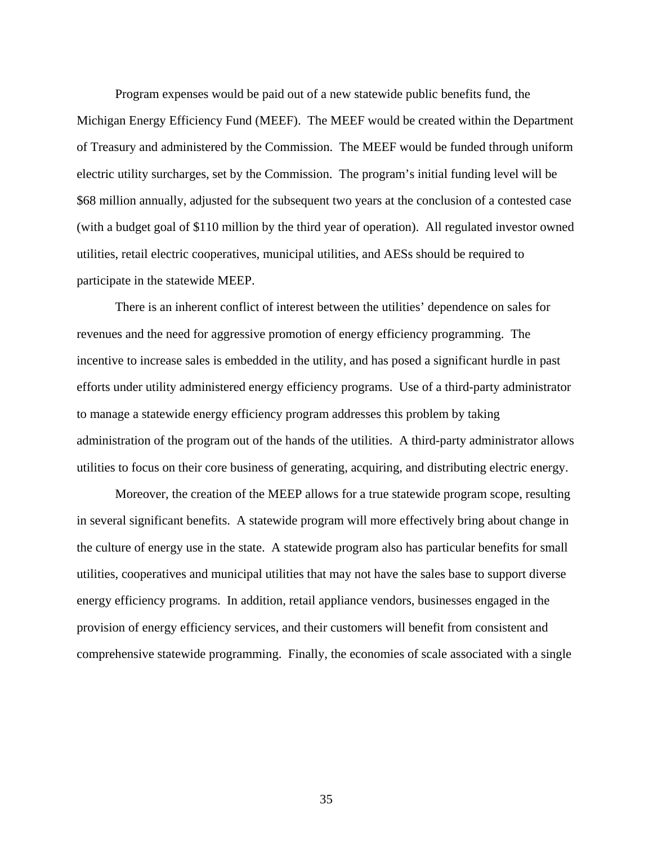Program expenses would be paid out of a new statewide public benefits fund, the Michigan Energy Efficiency Fund (MEEF). The MEEF would be created within the Department of Treasury and administered by the Commission. The MEEF would be funded through uniform electric utility surcharges, set by the Commission. The program's initial funding level will be \$68 million annually, adjusted for the subsequent two years at the conclusion of a contested case (with a budget goal of \$110 million by the third year of operation). All regulated investor owned utilities, retail electric cooperatives, municipal utilities, and AESs should be required to participate in the statewide MEEP.

 There is an inherent conflict of interest between the utilities' dependence on sales for revenues and the need for aggressive promotion of energy efficiency programming. The incentive to increase sales is embedded in the utility, and has posed a significant hurdle in past efforts under utility administered energy efficiency programs. Use of a third-party administrator to manage a statewide energy efficiency program addresses this problem by taking administration of the program out of the hands of the utilities. A third-party administrator allows utilities to focus on their core business of generating, acquiring, and distributing electric energy.

 Moreover, the creation of the MEEP allows for a true statewide program scope, resulting in several significant benefits. A statewide program will more effectively bring about change in the culture of energy use in the state. A statewide program also has particular benefits for small utilities, cooperatives and municipal utilities that may not have the sales base to support diverse energy efficiency programs. In addition, retail appliance vendors, businesses engaged in the provision of energy efficiency services, and their customers will benefit from consistent and comprehensive statewide programming. Finally, the economies of scale associated with a single

35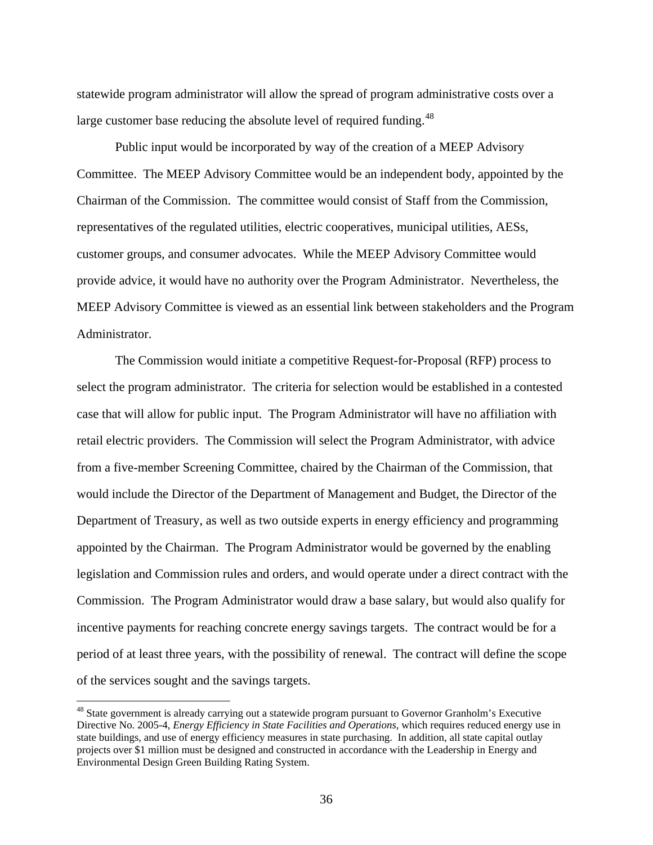statewide program administrator will allow the spread of program administrative costs over a large customer base reducing the absolute level of required funding.<sup>[48](#page-40-0)</sup>

 Public input would be incorporated by way of the creation of a MEEP Advisory Committee. The MEEP Advisory Committee would be an independent body, appointed by the Chairman of the Commission. The committee would consist of Staff from the Commission, representatives of the regulated utilities, electric cooperatives, municipal utilities, AESs, customer groups, and consumer advocates. While the MEEP Advisory Committee would provide advice, it would have no authority over the Program Administrator. Nevertheless, the MEEP Advisory Committee is viewed as an essential link between stakeholders and the Program Administrator.

 The Commission would initiate a competitive Request-for-Proposal (RFP) process to select the program administrator. The criteria for selection would be established in a contested case that will allow for public input. The Program Administrator will have no affiliation with retail electric providers. The Commission will select the Program Administrator, with advice from a five-member Screening Committee, chaired by the Chairman of the Commission, that would include the Director of the Department of Management and Budget, the Director of the Department of Treasury, as well as two outside experts in energy efficiency and programming appointed by the Chairman. The Program Administrator would be governed by the enabling legislation and Commission rules and orders, and would operate under a direct contract with the Commission. The Program Administrator would draw a base salary, but would also qualify for incentive payments for reaching concrete energy savings targets. The contract would be for a period of at least three years, with the possibility of renewal. The contract will define the scope of the services sought and the savings targets.

<span id="page-40-0"></span><sup>&</sup>lt;sup>48</sup> State government is already carrying out a statewide program pursuant to Governor Granholm's Executive Directive No. 2005-4, *Energy Efficiency in State Facilities and Operations,* which requires reduced energy use in state buildings, and use of energy efficiency measures in state purchasing. In addition, all state capital outlay projects over \$1 million must be designed and constructed in accordance with the Leadership in Energy and Environmental Design Green Building Rating System.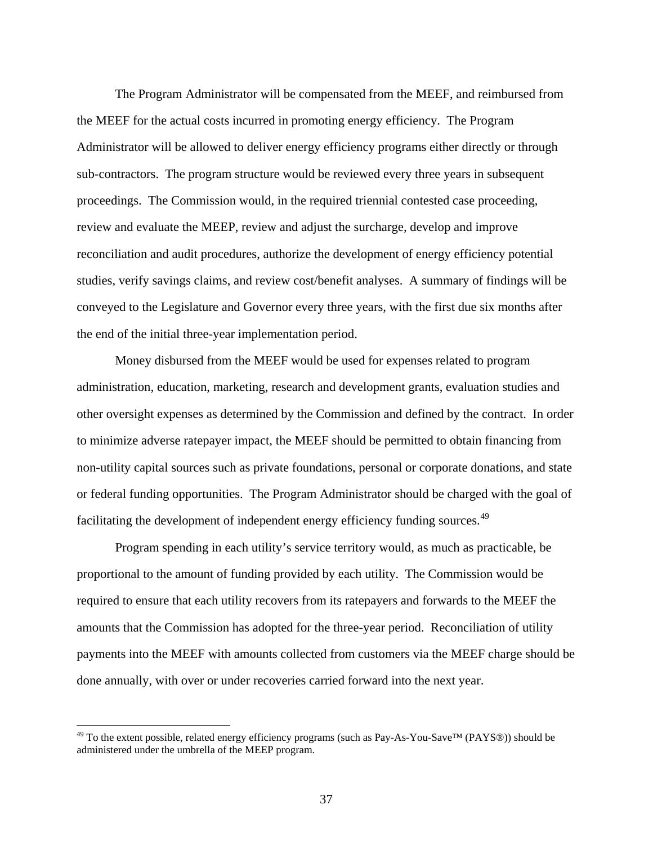The Program Administrator will be compensated from the MEEF, and reimbursed from the MEEF for the actual costs incurred in promoting energy efficiency. The Program Administrator will be allowed to deliver energy efficiency programs either directly or through sub-contractors. The program structure would be reviewed every three years in subsequent proceedings. The Commission would, in the required triennial contested case proceeding, review and evaluate the MEEP, review and adjust the surcharge, develop and improve reconciliation and audit procedures, authorize the development of energy efficiency potential studies, verify savings claims, and review cost/benefit analyses. A summary of findings will be conveyed to the Legislature and Governor every three years, with the first due six months after the end of the initial three-year implementation period.

 Money disbursed from the MEEF would be used for expenses related to program administration, education, marketing, research and development grants, evaluation studies and other oversight expenses as determined by the Commission and defined by the contract. In order to minimize adverse ratepayer impact, the MEEF should be permitted to obtain financing from non-utility capital sources such as private foundations, personal or corporate donations, and state or federal funding opportunities. The Program Administrator should be charged with the goal of facilitating the development of independent energy efficiency funding sources.<sup>[49](#page-41-0)</sup>

 Program spending in each utility's service territory would, as much as practicable, be proportional to the amount of funding provided by each utility. The Commission would be required to ensure that each utility recovers from its ratepayers and forwards to the MEEF the amounts that the Commission has adopted for the three-year period. Reconciliation of utility payments into the MEEF with amounts collected from customers via the MEEF charge should be done annually, with over or under recoveries carried forward into the next year.

<span id="page-41-0"></span> $^{49}$  To the extent possible, related energy efficiency programs (such as Pay-As-You-Save<sup>TM</sup> (PAYS®)) should be administered under the umbrella of the MEEP program.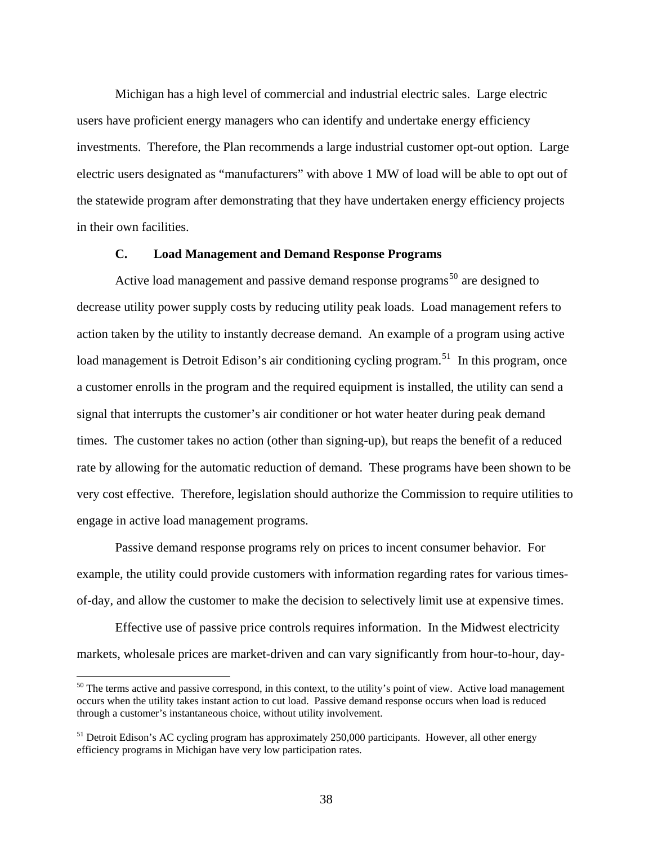Michigan has a high level of commercial and industrial electric sales. Large electric users have proficient energy managers who can identify and undertake energy efficiency investments. Therefore, the Plan recommends a large industrial customer opt-out option. Large electric users designated as "manufacturers" with above 1 MW of load will be able to opt out of the statewide program after demonstrating that they have undertaken energy efficiency projects in their own facilities.

#### **C. Load Management and Demand Response Programs**

Active load management and passive demand response programs<sup>[50](#page-42-0)</sup> are designed to decrease utility power supply costs by reducing utility peak loads. Load management refers to action taken by the utility to instantly decrease demand. An example of a program using active load management is Detroit Edison's air conditioning cycling program.<sup>[51](#page-42-1)</sup> In this program, once a customer enrolls in the program and the required equipment is installed, the utility can send a signal that interrupts the customer's air conditioner or hot water heater during peak demand times. The customer takes no action (other than signing-up), but reaps the benefit of a reduced rate by allowing for the automatic reduction of demand. These programs have been shown to be very cost effective. Therefore, legislation should authorize the Commission to require utilities to engage in active load management programs.

 Passive demand response programs rely on prices to incent consumer behavior. For example, the utility could provide customers with information regarding rates for various timesof-day, and allow the customer to make the decision to selectively limit use at expensive times.

 Effective use of passive price controls requires information. In the Midwest electricity markets, wholesale prices are market-driven and can vary significantly from hour-to-hour, day-

<span id="page-42-0"></span> $50$  The terms active and passive correspond, in this context, to the utility's point of view. Active load management occurs when the utility takes instant action to cut load. Passive demand response occurs when load is reduced through a customer's instantaneous choice, without utility involvement.

<span id="page-42-1"></span><sup>&</sup>lt;sup>51</sup> Detroit Edison's AC cycling program has approximately 250,000 participants. However, all other energy efficiency programs in Michigan have very low participation rates.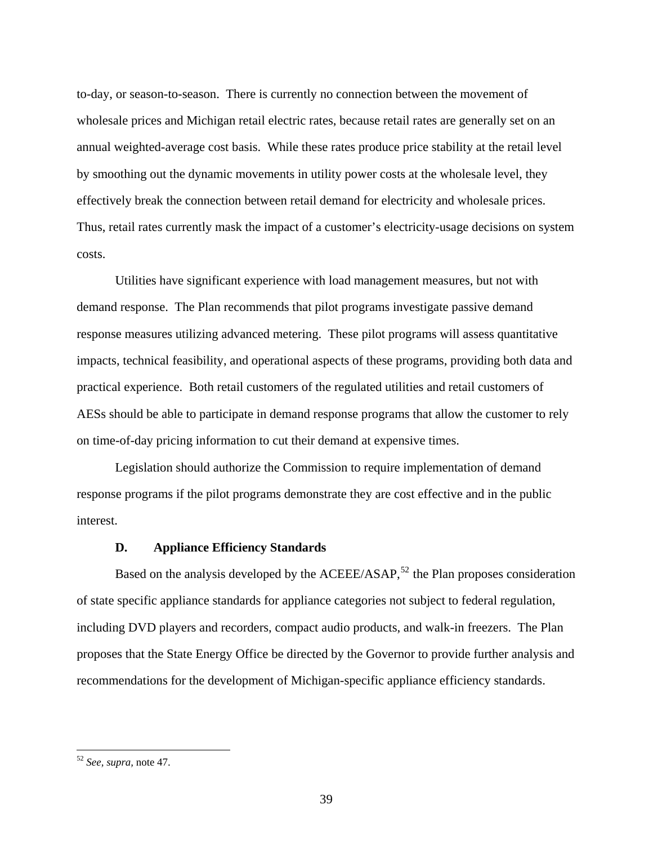to-day, or season-to-season. There is currently no connection between the movement of wholesale prices and Michigan retail electric rates, because retail rates are generally set on an annual weighted-average cost basis. While these rates produce price stability at the retail level by smoothing out the dynamic movements in utility power costs at the wholesale level, they effectively break the connection between retail demand for electricity and wholesale prices. Thus, retail rates currently mask the impact of a customer's electricity-usage decisions on system costs.

 Utilities have significant experience with load management measures, but not with demand response. The Plan recommends that pilot programs investigate passive demand response measures utilizing advanced metering. These pilot programs will assess quantitative impacts, technical feasibility, and operational aspects of these programs, providing both data and practical experience. Both retail customers of the regulated utilities and retail customers of AESs should be able to participate in demand response programs that allow the customer to rely on time-of-day pricing information to cut their demand at expensive times.

 Legislation should authorize the Commission to require implementation of demand response programs if the pilot programs demonstrate they are cost effective and in the public interest.

#### **D. Appliance Efficiency Standards**

Based on the analysis developed by the  $ACEEE/ASAP$ ,<sup>[52](#page-43-0)</sup> the Plan proposes consideration of state specific appliance standards for appliance categories not subject to federal regulation, including DVD players and recorders, compact audio products, and walk-in freezers. The Plan proposes that the State Energy Office be directed by the Governor to provide further analysis and recommendations for the development of Michigan-specific appliance efficiency standards.

<span id="page-43-0"></span><sup>52</sup> *See, supra,* note 47.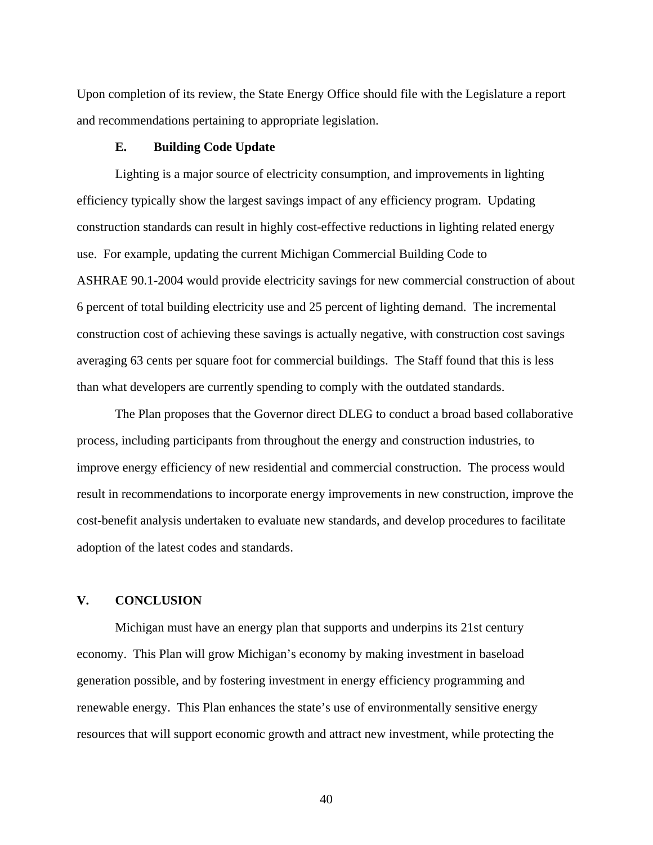Upon completion of its review, the State Energy Office should file with the Legislature a report and recommendations pertaining to appropriate legislation.

#### **E. Building Code Update**

 Lighting is a major source of electricity consumption, and improvements in lighting efficiency typically show the largest savings impact of any efficiency program. Updating construction standards can result in highly cost-effective reductions in lighting related energy use. For example, updating the current Michigan Commercial Building Code to ASHRAE 90.1-2004 would provide electricity savings for new commercial construction of about 6 percent of total building electricity use and 25 percent of lighting demand. The incremental construction cost of achieving these savings is actually negative, with construction cost savings averaging 63 cents per square foot for commercial buildings. The Staff found that this is less than what developers are currently spending to comply with the outdated standards.

 The Plan proposes that the Governor direct DLEG to conduct a broad based collaborative process, including participants from throughout the energy and construction industries, to improve energy efficiency of new residential and commercial construction. The process would result in recommendations to incorporate energy improvements in new construction, improve the cost-benefit analysis undertaken to evaluate new standards, and develop procedures to facilitate adoption of the latest codes and standards.

#### **V. CONCLUSION**

 Michigan must have an energy plan that supports and underpins its 21st century economy. This Plan will grow Michigan's economy by making investment in baseload generation possible, and by fostering investment in energy efficiency programming and renewable energy. This Plan enhances the state's use of environmentally sensitive energy resources that will support economic growth and attract new investment, while protecting the

40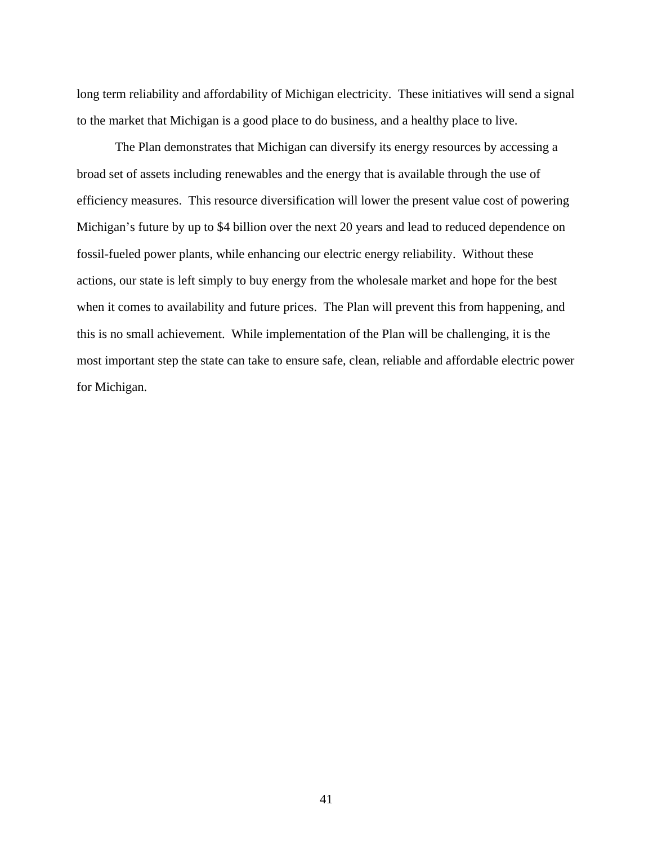long term reliability and affordability of Michigan electricity. These initiatives will send a signal to the market that Michigan is a good place to do business, and a healthy place to live.

 The Plan demonstrates that Michigan can diversify its energy resources by accessing a broad set of assets including renewables and the energy that is available through the use of efficiency measures. This resource diversification will lower the present value cost of powering Michigan's future by up to \$4 billion over the next 20 years and lead to reduced dependence on fossil-fueled power plants, while enhancing our electric energy reliability. Without these actions, our state is left simply to buy energy from the wholesale market and hope for the best when it comes to availability and future prices. The Plan will prevent this from happening, and this is no small achievement. While implementation of the Plan will be challenging, it is the most important step the state can take to ensure safe, clean, reliable and affordable electric power for Michigan.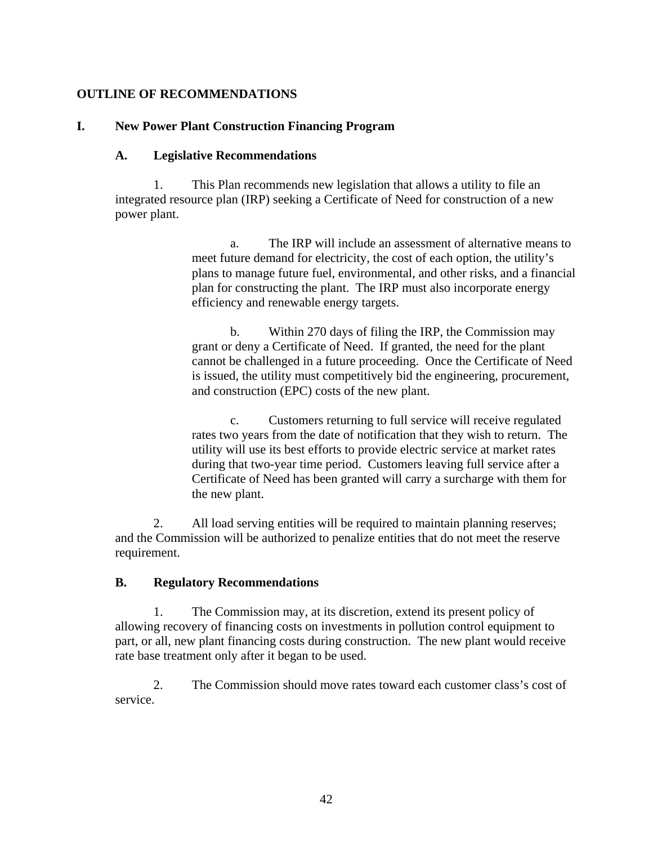#### **OUTLINE OF RECOMMENDATIONS**

#### **I. New Power Plant Construction Financing Program**

#### **A. Legislative Recommendations**

1. This Plan recommends new legislation that allows a utility to file an integrated resource plan (IRP) seeking a Certificate of Need for construction of a new power plant.

> a. The IRP will include an assessment of alternative means to meet future demand for electricity, the cost of each option, the utility's plans to manage future fuel, environmental, and other risks, and a financial plan for constructing the plant. The IRP must also incorporate energy efficiency and renewable energy targets.

> b. Within 270 days of filing the IRP, the Commission may grant or deny a Certificate of Need. If granted, the need for the plant cannot be challenged in a future proceeding. Once the Certificate of Need is issued, the utility must competitively bid the engineering, procurement, and construction (EPC) costs of the new plant.

c. Customers returning to full service will receive regulated rates two years from the date of notification that they wish to return. The utility will use its best efforts to provide electric service at market rates during that two-year time period. Customers leaving full service after a Certificate of Need has been granted will carry a surcharge with them for the new plant.

2. All load serving entities will be required to maintain planning reserves; and the Commission will be authorized to penalize entities that do not meet the reserve requirement.

#### **B. Regulatory Recommendations**

1. The Commission may, at its discretion, extend its present policy of allowing recovery of financing costs on investments in pollution control equipment to part, or all, new plant financing costs during construction. The new plant would receive rate base treatment only after it began to be used.

2. The Commission should move rates toward each customer class's cost of service.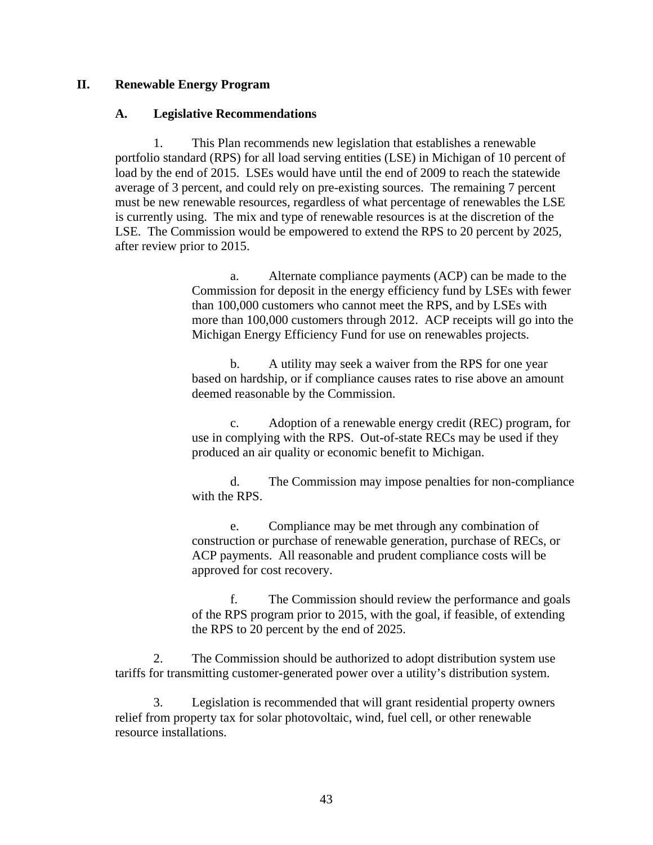#### **II. Renewable Energy Program**

#### **A. Legislative Recommendations**

1. This Plan recommends new legislation that establishes a renewable portfolio standard (RPS) for all load serving entities (LSE) in Michigan of 10 percent of load by the end of 2015. LSEs would have until the end of 2009 to reach the statewide average of 3 percent, and could rely on pre-existing sources. The remaining 7 percent must be new renewable resources, regardless of what percentage of renewables the LSE is currently using. The mix and type of renewable resources is at the discretion of the LSE. The Commission would be empowered to extend the RPS to 20 percent by 2025, after review prior to 2015.

> a. Alternate compliance payments (ACP) can be made to the Commission for deposit in the energy efficiency fund by LSEs with fewer than 100,000 customers who cannot meet the RPS, and by LSEs with more than 100,000 customers through 2012. ACP receipts will go into the Michigan Energy Efficiency Fund for use on renewables projects.

b. A utility may seek a waiver from the RPS for one year based on hardship, or if compliance causes rates to rise above an amount deemed reasonable by the Commission.

c. Adoption of a renewable energy credit (REC) program, for use in complying with the RPS. Out-of-state RECs may be used if they produced an air quality or economic benefit to Michigan.

d. The Commission may impose penalties for non-compliance with the RPS.

e. Compliance may be met through any combination of construction or purchase of renewable generation, purchase of RECs, or ACP payments. All reasonable and prudent compliance costs will be approved for cost recovery.

f. The Commission should review the performance and goals of the RPS program prior to 2015, with the goal, if feasible, of extending the RPS to 20 percent by the end of 2025.

2. The Commission should be authorized to adopt distribution system use tariffs for transmitting customer-generated power over a utility's distribution system.

3. Legislation is recommended that will grant residential property owners relief from property tax for solar photovoltaic, wind, fuel cell, or other renewable resource installations.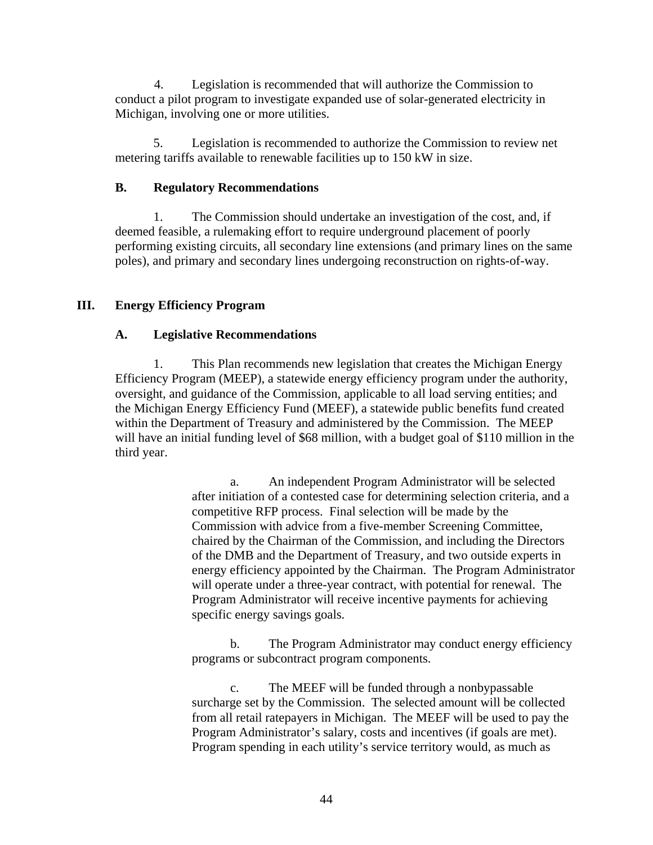4. Legislation is recommended that will authorize the Commission to conduct a pilot program to investigate expanded use of solar-generated electricity in Michigan, involving one or more utilities.

5. Legislation is recommended to authorize the Commission to review net metering tariffs available to renewable facilities up to 150 kW in size.

#### **B. Regulatory Recommendations**

1. The Commission should undertake an investigation of the cost, and, if deemed feasible, a rulemaking effort to require underground placement of poorly performing existing circuits, all secondary line extensions (and primary lines on the same poles), and primary and secondary lines undergoing reconstruction on rights-of-way.

#### **III. Energy Efficiency Program**

#### **A. Legislative Recommendations**

1. This Plan recommends new legislation that creates the Michigan Energy Efficiency Program (MEEP), a statewide energy efficiency program under the authority, oversight, and guidance of the Commission, applicable to all load serving entities; and the Michigan Energy Efficiency Fund (MEEF), a statewide public benefits fund created within the Department of Treasury and administered by the Commission. The MEEP will have an initial funding level of \$68 million, with a budget goal of \$110 million in the third year.

> a. An independent Program Administrator will be selected after initiation of a contested case for determining selection criteria, and a competitive RFP process. Final selection will be made by the Commission with advice from a five-member Screening Committee, chaired by the Chairman of the Commission, and including the Directors of the DMB and the Department of Treasury, and two outside experts in energy efficiency appointed by the Chairman. The Program Administrator will operate under a three-year contract, with potential for renewal. The Program Administrator will receive incentive payments for achieving specific energy savings goals.

> b. The Program Administrator may conduct energy efficiency programs or subcontract program components.

> c. The MEEF will be funded through a nonbypassable surcharge set by the Commission. The selected amount will be collected from all retail ratepayers in Michigan. The MEEF will be used to pay the Program Administrator's salary, costs and incentives (if goals are met). Program spending in each utility's service territory would, as much as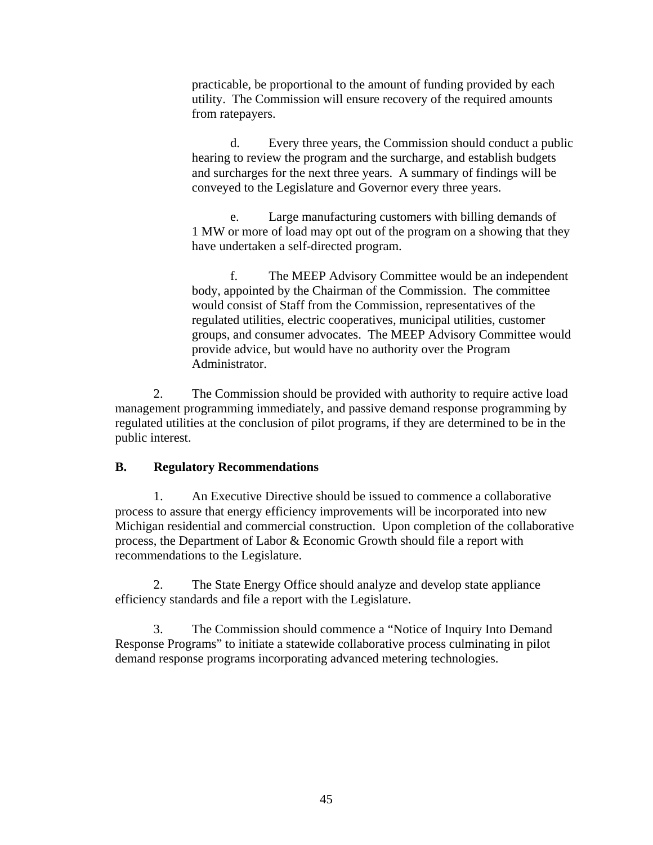practicable, be proportional to the amount of funding provided by each utility. The Commission will ensure recovery of the required amounts from ratepayers.

d. Every three years, the Commission should conduct a public hearing to review the program and the surcharge, and establish budgets and surcharges for the next three years. A summary of findings will be conveyed to the Legislature and Governor every three years.

e. Large manufacturing customers with billing demands of 1 MW or more of load may opt out of the program on a showing that they have undertaken a self-directed program.

f. The MEEP Advisory Committee would be an independent body, appointed by the Chairman of the Commission. The committee would consist of Staff from the Commission, representatives of the regulated utilities, electric cooperatives, municipal utilities, customer groups, and consumer advocates. The MEEP Advisory Committee would provide advice, but would have no authority over the Program Administrator.

2. The Commission should be provided with authority to require active load management programming immediately, and passive demand response programming by regulated utilities at the conclusion of pilot programs, if they are determined to be in the public interest.

#### **B. Regulatory Recommendations**

1. An Executive Directive should be issued to commence a collaborative process to assure that energy efficiency improvements will be incorporated into new Michigan residential and commercial construction. Upon completion of the collaborative process, the Department of Labor & Economic Growth should file a report with recommendations to the Legislature.

2. The State Energy Office should analyze and develop state appliance efficiency standards and file a report with the Legislature.

3. The Commission should commence a "Notice of Inquiry Into Demand Response Programs" to initiate a statewide collaborative process culminating in pilot demand response programs incorporating advanced metering technologies.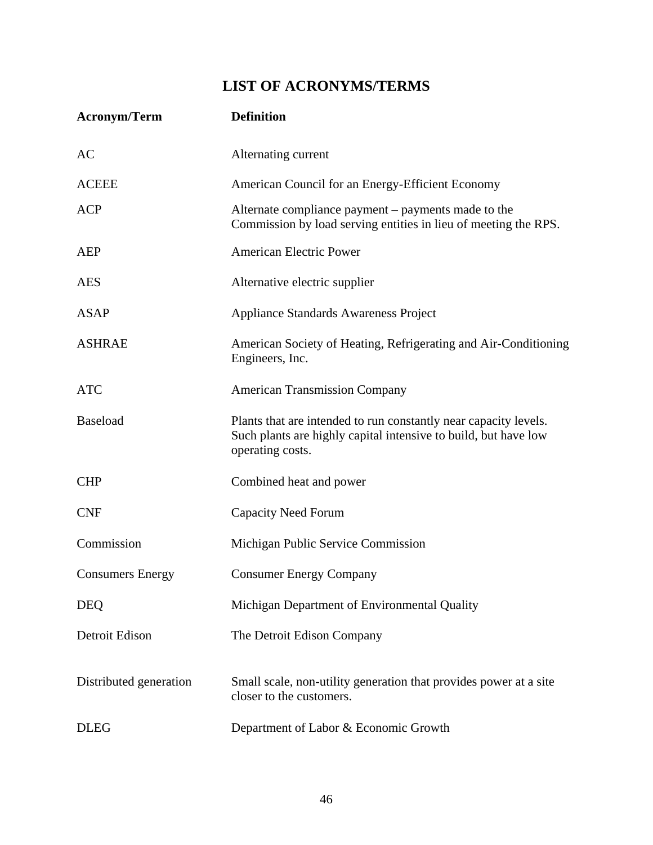### **LIST OF ACRONYMS/TERMS**

| <b>Acronym/Term</b>     | <b>Definition</b>                                                                                                                                       |
|-------------------------|---------------------------------------------------------------------------------------------------------------------------------------------------------|
| AC                      | Alternating current                                                                                                                                     |
| <b>ACEEE</b>            | American Council for an Energy-Efficient Economy                                                                                                        |
| <b>ACP</b>              | Alternate compliance payment – payments made to the<br>Commission by load serving entities in lieu of meeting the RPS.                                  |
| <b>AEP</b>              | <b>American Electric Power</b>                                                                                                                          |
| <b>AES</b>              | Alternative electric supplier                                                                                                                           |
| <b>ASAP</b>             | <b>Appliance Standards Awareness Project</b>                                                                                                            |
| <b>ASHRAE</b>           | American Society of Heating, Refrigerating and Air-Conditioning<br>Engineers, Inc.                                                                      |
| <b>ATC</b>              | <b>American Transmission Company</b>                                                                                                                    |
| <b>Baseload</b>         | Plants that are intended to run constantly near capacity levels.<br>Such plants are highly capital intensive to build, but have low<br>operating costs. |
| <b>CHP</b>              | Combined heat and power                                                                                                                                 |
| <b>CNF</b>              | <b>Capacity Need Forum</b>                                                                                                                              |
| Commission              | Michigan Public Service Commission                                                                                                                      |
| <b>Consumers Energy</b> | <b>Consumer Energy Company</b>                                                                                                                          |
| <b>DEQ</b>              | Michigan Department of Environmental Quality                                                                                                            |
| Detroit Edison          | The Detroit Edison Company                                                                                                                              |
| Distributed generation  | Small scale, non-utility generation that provides power at a site<br>closer to the customers.                                                           |
| <b>DLEG</b>             | Department of Labor & Economic Growth                                                                                                                   |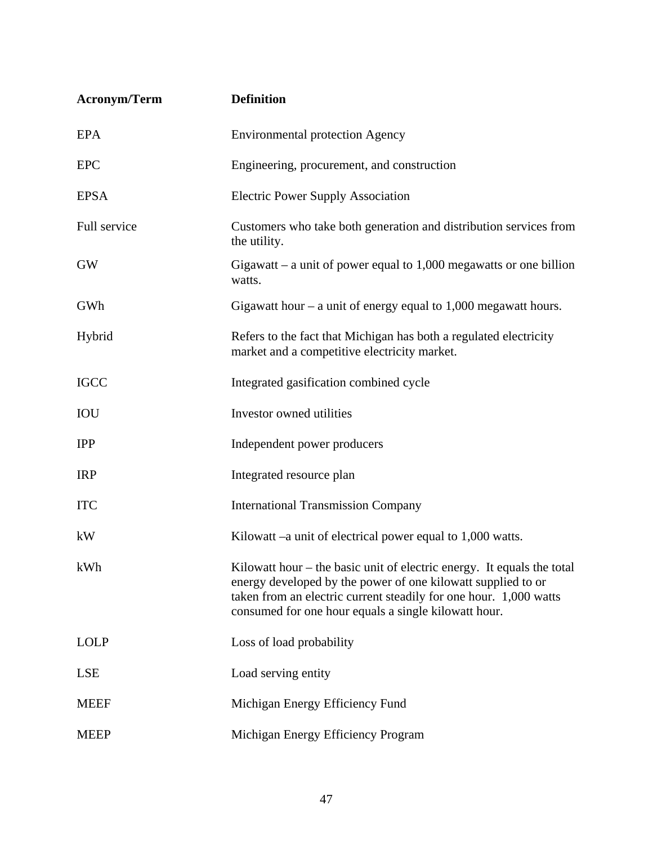| <b>Acronym/Term</b> | <b>Definition</b>                                                                                                                                                                                                                                                     |
|---------------------|-----------------------------------------------------------------------------------------------------------------------------------------------------------------------------------------------------------------------------------------------------------------------|
| <b>EPA</b>          | <b>Environmental protection Agency</b>                                                                                                                                                                                                                                |
| <b>EPC</b>          | Engineering, procurement, and construction                                                                                                                                                                                                                            |
| <b>EPSA</b>         | <b>Electric Power Supply Association</b>                                                                                                                                                                                                                              |
| Full service        | Customers who take both generation and distribution services from<br>the utility.                                                                                                                                                                                     |
| <b>GW</b>           | Gigawatt – a unit of power equal to $1,000$ megawatts or one billion<br>watts.                                                                                                                                                                                        |
| GWh                 | Gigawatt hour $-$ a unit of energy equal to 1,000 megawatt hours.                                                                                                                                                                                                     |
| Hybrid              | Refers to the fact that Michigan has both a regulated electricity<br>market and a competitive electricity market.                                                                                                                                                     |
| <b>IGCC</b>         | Integrated gasification combined cycle                                                                                                                                                                                                                                |
| <b>IOU</b>          | Investor owned utilities                                                                                                                                                                                                                                              |
| <b>IPP</b>          | Independent power producers                                                                                                                                                                                                                                           |
| <b>IRP</b>          | Integrated resource plan                                                                                                                                                                                                                                              |
| <b>ITC</b>          | <b>International Transmission Company</b>                                                                                                                                                                                                                             |
| kW                  | Kilowatt $-a$ unit of electrical power equal to $1,000$ watts.                                                                                                                                                                                                        |
| kWh                 | Kilowatt hour $-$ the basic unit of electric energy. It equals the total<br>energy developed by the power of one kilowatt supplied to or<br>taken from an electric current steadily for one hour. 1,000 watts<br>consumed for one hour equals a single kilowatt hour. |
| <b>LOLP</b>         | Loss of load probability                                                                                                                                                                                                                                              |
| <b>LSE</b>          | Load serving entity                                                                                                                                                                                                                                                   |
| <b>MEEF</b>         | Michigan Energy Efficiency Fund                                                                                                                                                                                                                                       |
| <b>MEEP</b>         | Michigan Energy Efficiency Program                                                                                                                                                                                                                                    |